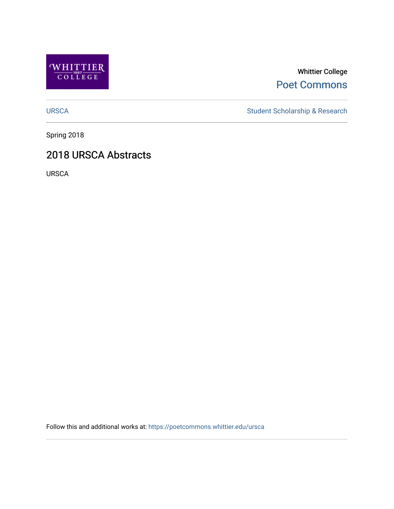

Whittier College [Poet Commons](https://poetcommons.whittier.edu/) 

[URSCA](https://poetcommons.whittier.edu/ursca) Student Scholarship & Research

Spring 2018

## 2018 URSCA Abstracts

URSCA

Follow this and additional works at: [https://poetcommons.whittier.edu/ursca](https://poetcommons.whittier.edu/ursca?utm_source=poetcommons.whittier.edu%2Fursca%2F5&utm_medium=PDF&utm_campaign=PDFCoverPages)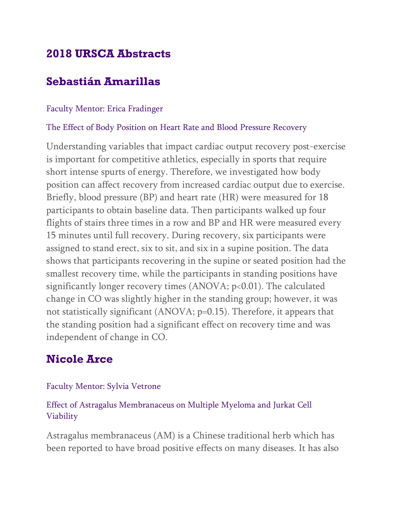# **2018 URSCA Abstracts**

# **Sebastián Amarillas**

### Faculty Mentor: Erica Fradinger

### The Effect of Body Position on Heart Rate and Blood Pressure Recovery

Understanding variables that impact cardiac output recovery post-exercise is important for competitive athletics, especially in sports that require short intense spurts of energy. Therefore, we investigated how body position can affect recovery from increased cardiac output due to exercise. Briefly, blood pressure (BP) and heart rate (HR) were measured for 18 participants to obtain baseline data. Then participants walked up four flights of stairs three times in a row and BP and HR were measured every 15 minutes until full recovery. During recovery, six participants were assigned to stand erect, six to sit, and six in a supine position. The data shows that participants recovering in the supine or seated position had the smallest recovery time, while the participants in standing positions have significantly longer recovery times (ANOVA; p<0.01). The calculated change in CO was slightly higher in the standing group; however, it was not statistically significant (ANOVA; p=0.15). Therefore, it appears that the standing position had a significant effect on recovery time and was independent of change in CO.

# **Nicole Arce**

## Faculty Mentor: Sylvia Vetrone

## Effect of Astragalus Membranaceus on Multiple Myeloma and Jurkat Cell Viability

Astragalus membranaceus (AM) is a Chinese traditional herb which has been reported to have broad positive effects on many diseases. It has also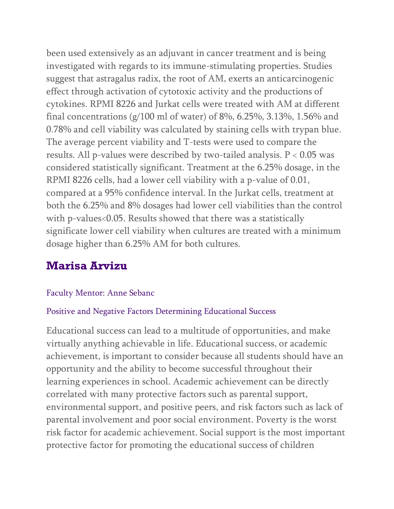been used extensively as an adjuvant in cancer treatment and is being investigated with regards to its immune-stimulating properties. Studies suggest that astragalus radix, the root of AM, exerts an anticarcinogenic effect through activation of cytotoxic activity and the productions of cytokines. RPMI 8226 and Jurkat cells were treated with AM at different final concentrations (g/100 ml of water) of 8%, 6.25%, 3.13%, 1.56% and 0.78% and cell viability was calculated by staining cells with trypan blue. The average percent viability and T-tests were used to compare the results. All p-values were described by two-tailed analysis. P < 0.05 was considered statistically significant. Treatment at the 6.25% dosage, in the RPMI 8226 cells, had a lower cell viability with a p-value of 0.01, compared at a 95% confidence interval. In the Jurkat cells, treatment at both the 6.25% and 8% dosages had lower cell viabilities than the control with p-values<0.05. Results showed that there was a statistically significate lower cell viability when cultures are treated with a minimum dosage higher than 6.25% AM for both cultures.

# **Marisa Arvizu**

### Faculty Mentor: Anne Sebanc

### Positive and Negative Factors Determining Educational Success

Educational success can lead to a multitude of opportunities, and make virtually anything achievable in life. Educational success, or academic achievement, is important to consider because all students should have an opportunity and the ability to become successful throughout their learning experiences in school. Academic achievement can be directly correlated with many protective factors such as parental support, environmental support, and positive peers, and risk factors such as lack of parental involvement and poor social environment. Poverty is the worst risk factor for academic achievement. Social support is the most important protective factor for promoting the educational success of children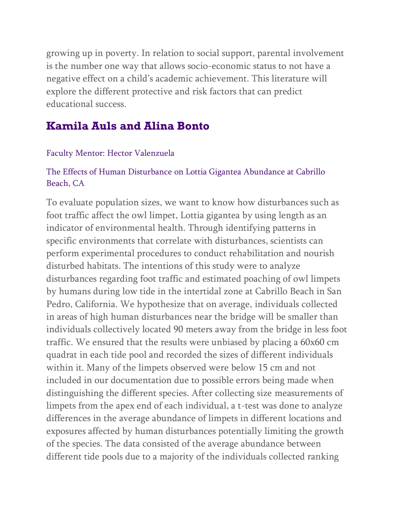growing up in poverty. In relation to social support, parental involvement is the number one way that allows socio-economic status to not have a negative effect on a child's academic achievement. This literature will explore the different protective and risk factors that can predict educational success.

# **Kamila Auls and Alina Bonto**

### Faculty Mentor: Hector Valenzuela

### The Effects of Human Disturbance on Lottia Gigantea Abundance at Cabrillo Beach, CA

To evaluate population sizes, we want to know how disturbances such as foot traffic affect the owl limpet, Lottia gigantea by using length as an indicator of environmental health. Through identifying patterns in specific environments that correlate with disturbances, scientists can perform experimental procedures to conduct rehabilitation and nourish disturbed habitats. The intentions of this study were to analyze disturbances regarding foot traffic and estimated poaching of owl limpets by humans during low tide in the intertidal zone at Cabrillo Beach in San Pedro, California. We hypothesize that on average, individuals collected in areas of high human disturbances near the bridge will be smaller than individuals collectively located 90 meters away from the bridge in less foot traffic. We ensured that the results were unbiased by placing a 60x60 cm quadrat in each tide pool and recorded the sizes of different individuals within it. Many of the limpets observed were below 15 cm and not included in our documentation due to possible errors being made when distinguishing the different species. After collecting size measurements of limpets from the apex end of each individual, a t-test was done to analyze differences in the average abundance of limpets in different locations and exposures affected by human disturbances potentially limiting the growth of the species. The data consisted of the average abundance between different tide pools due to a majority of the individuals collected ranking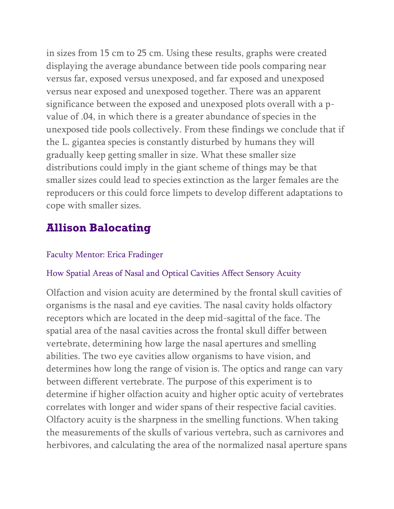in sizes from 15 cm to 25 cm. Using these results, graphs were created displaying the average abundance between tide pools comparing near versus far, exposed versus unexposed, and far exposed and unexposed versus near exposed and unexposed together. There was an apparent significance between the exposed and unexposed plots overall with a pvalue of .04, in which there is a greater abundance of species in the unexposed tide pools collectively. From these findings we conclude that if the L. gigantea species is constantly disturbed by humans they will gradually keep getting smaller in size. What these smaller size distributions could imply in the giant scheme of things may be that smaller sizes could lead to species extinction as the larger females are the reproducers or this could force limpets to develop different adaptations to cope with smaller sizes.

# **Allison Balocating**

### Faculty Mentor: Erica Fradinger

### How Spatial Areas of Nasal and Optical Cavities Affect Sensory Acuity

Olfaction and vision acuity are determined by the frontal skull cavities of organisms is the nasal and eye cavities. The nasal cavity holds olfactory receptors which are located in the deep mid-sagittal of the face. The spatial area of the nasal cavities across the frontal skull differ between vertebrate, determining how large the nasal apertures and smelling abilities. The two eye cavities allow organisms to have vision, and determines how long the range of vision is. The optics and range can vary between different vertebrate. The purpose of this experiment is to determine if higher olfaction acuity and higher optic acuity of vertebrates correlates with longer and wider spans of their respective facial cavities. Olfactory acuity is the sharpness in the smelling functions. When taking the measurements of the skulls of various vertebra, such as carnivores and herbivores, and calculating the area of the normalized nasal aperture spans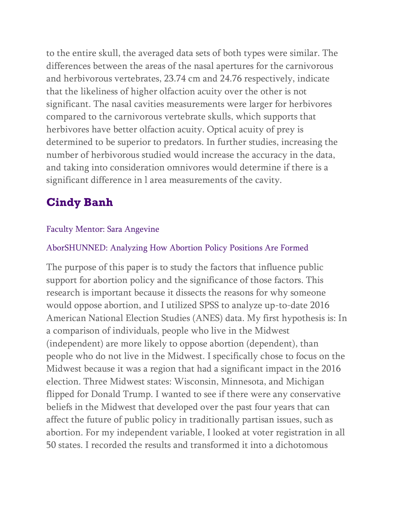to the entire skull, the averaged data sets of both types were similar. The differences between the areas of the nasal apertures for the carnivorous and herbivorous vertebrates, 23.74 cm and 24.76 respectively, indicate that the likeliness of higher olfaction acuity over the other is not significant. The nasal cavities measurements were larger for herbivores compared to the carnivorous vertebrate skulls, which supports that herbivores have better olfaction acuity. Optical acuity of prey is determined to be superior to predators. In further studies, increasing the number of herbivorous studied would increase the accuracy in the data, and taking into consideration omnivores would determine if there is a significant difference in l area measurements of the cavity.

# **Cindy Banh**

### Faculty Mentor: Sara Angevine

#### AborSHUNNED: Analyzing How Abortion Policy Positions Are Formed

The purpose of this paper is to study the factors that influence public support for abortion policy and the significance of those factors. This research is important because it dissects the reasons for why someone would oppose abortion, and I utilized SPSS to analyze up-to-date 2016 American National Election Studies (ANES) data. My first hypothesis is: In a comparison of individuals, people who live in the Midwest (independent) are more likely to oppose abortion (dependent), than people who do not live in the Midwest. I specifically chose to focus on the Midwest because it was a region that had a significant impact in the 2016 election. Three Midwest states: Wisconsin, Minnesota, and Michigan flipped for Donald Trump. I wanted to see if there were any conservative beliefs in the Midwest that developed over the past four years that can affect the future of public policy in traditionally partisan issues, such as abortion. For my independent variable, I looked at voter registration in all 50 states. I recorded the results and transformed it into a dichotomous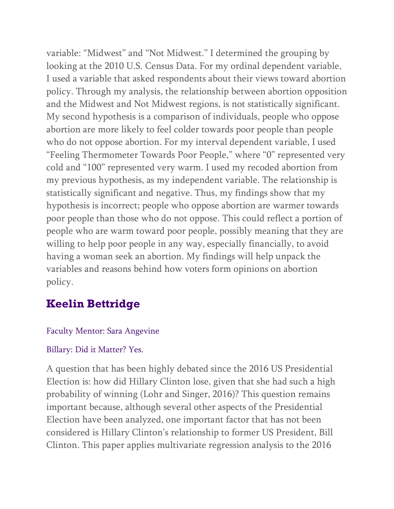variable: "Midwest" and "Not Midwest." I determined the grouping by looking at the 2010 U.S. Census Data. For my ordinal dependent variable, I used a variable that asked respondents about their views toward abortion policy. Through my analysis, the relationship between abortion opposition and the Midwest and Not Midwest regions, is not statistically significant. My second hypothesis is a comparison of individuals, people who oppose abortion are more likely to feel colder towards poor people than people who do not oppose abortion. For my interval dependent variable, I used "Feeling Thermometer Towards Poor People," where "0" represented very cold and "100" represented very warm. I used my recoded abortion from my previous hypothesis, as my independent variable. The relationship is statistically significant and negative. Thus, my findings show that my hypothesis is incorrect; people who oppose abortion are warmer towards poor people than those who do not oppose. This could reflect a portion of people who are warm toward poor people, possibly meaning that they are willing to help poor people in any way, especially financially, to avoid having a woman seek an abortion. My findings will help unpack the variables and reasons behind how voters form opinions on abortion policy.

# **Keelin Bettridge**

## Faculty Mentor: Sara Angevine

## Billary: Did it Matter? Yes.

A question that has been highly debated since the 2016 US Presidential Election is: how did Hillary Clinton lose, given that she had such a high probability of winning (Lohr and Singer, 2016)? This question remains important because, although several other aspects of the Presidential Election have been analyzed, one important factor that has not been considered is Hillary Clinton's relationship to former US President, Bill Clinton. This paper applies multivariate regression analysis to the 2016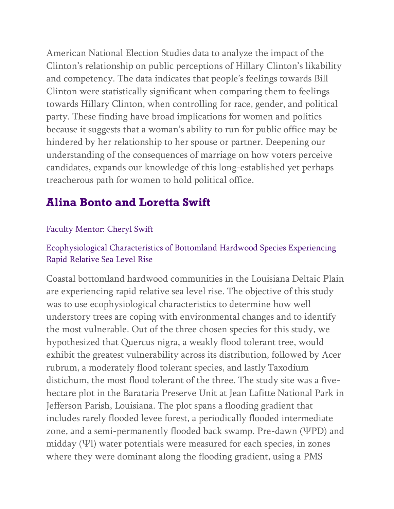American National Election Studies data to analyze the impact of the Clinton's relationship on public perceptions of Hillary Clinton's likability and competency. The data indicates that people's feelings towards Bill Clinton were statistically significant when comparing them to feelings towards Hillary Clinton, when controlling for race, gender, and political party. These finding have broad implications for women and politics because it suggests that a woman's ability to run for public office may be hindered by her relationship to her spouse or partner. Deepening our understanding of the consequences of marriage on how voters perceive candidates, expands our knowledge of this long-established yet perhaps treacherous path for women to hold political office.

# **Alina Bonto and Loretta Swift**

### Faculty Mentor: Cheryl Swift

## Ecophysiological Characteristics of Bottomland Hardwood Species Experiencing Rapid Relative Sea Level Rise

Coastal bottomland hardwood communities in the Louisiana Deltaic Plain are experiencing rapid relative sea level rise. The objective of this study was to use ecophysiological characteristics to determine how well understory trees are coping with environmental changes and to identify the most vulnerable. Out of the three chosen species for this study, we hypothesized that Quercus nigra, a weakly flood tolerant tree, would exhibit the greatest vulnerability across its distribution, followed by Acer rubrum, a moderately flood tolerant species, and lastly Taxodium distichum, the most flood tolerant of the three. The study site was a fivehectare plot in the Barataria Preserve Unit at Jean Lafitte National Park in Jefferson Parish, Louisiana. The plot spans a flooding gradient that includes rarely flooded levee forest, a periodically flooded intermediate zone, and a semi-permanently flooded back swamp. Pre-dawn (ΨPD) and midday (Ψl) water potentials were measured for each species, in zones where they were dominant along the flooding gradient, using a PMS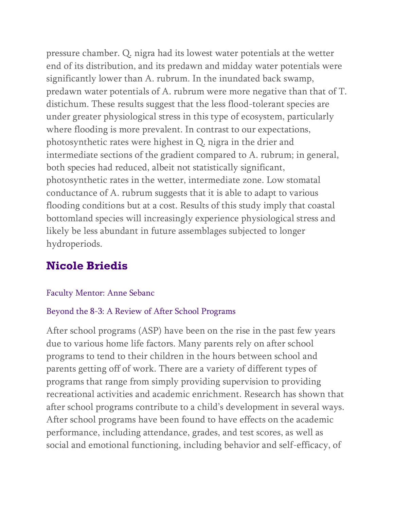pressure chamber. Q. nigra had its lowest water potentials at the wetter end of its distribution, and its predawn and midday water potentials were significantly lower than A. rubrum. In the inundated back swamp, predawn water potentials of A. rubrum were more negative than that of T. distichum. These results suggest that the less flood-tolerant species are under greater physiological stress in this type of ecosystem, particularly where flooding is more prevalent. In contrast to our expectations, photosynthetic rates were highest in Q. nigra in the drier and intermediate sections of the gradient compared to A. rubrum; in general, both species had reduced, albeit not statistically significant, photosynthetic rates in the wetter, intermediate zone. Low stomatal conductance of A. rubrum suggests that it is able to adapt to various flooding conditions but at a cost. Results of this study imply that coastal bottomland species will increasingly experience physiological stress and likely be less abundant in future assemblages subjected to longer hydroperiods.

# **Nicole Briedis**

### Faculty Mentor: Anne Sebanc

#### Beyond the 8-3: A Review of After School Programs

After school programs (ASP) have been on the rise in the past few years due to various home life factors. Many parents rely on after school programs to tend to their children in the hours between school and parents getting off of work. There are a variety of different types of programs that range from simply providing supervision to providing recreational activities and academic enrichment. Research has shown that after school programs contribute to a child's development in several ways. After school programs have been found to have effects on the academic performance, including attendance, grades, and test scores, as well as social and emotional functioning, including behavior and self-efficacy, of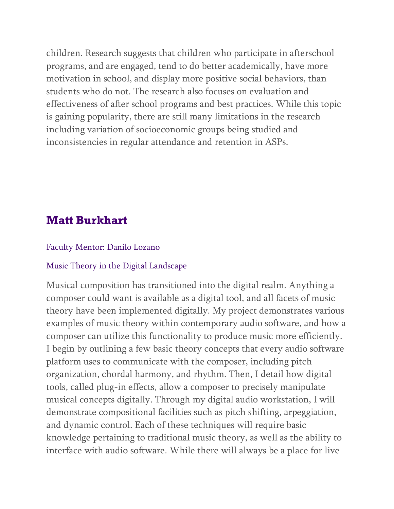children. Research suggests that children who participate in afterschool programs, and are engaged, tend to do better academically, have more motivation in school, and display more positive social behaviors, than students who do not. The research also focuses on evaluation and effectiveness of after school programs and best practices. While this topic is gaining popularity, there are still many limitations in the research including variation of socioeconomic groups being studied and inconsistencies in regular attendance and retention in ASPs.

## **Matt Burkhart**

#### Faculty Mentor: Danilo Lozano

#### Music Theory in the Digital Landscape

Musical composition has transitioned into the digital realm. Anything a composer could want is available as a digital tool, and all facets of music theory have been implemented digitally. My project demonstrates various examples of music theory within contemporary audio software, and how a composer can utilize this functionality to produce music more efficiently. I begin by outlining a few basic theory concepts that every audio software platform uses to communicate with the composer, including pitch organization, chordal harmony, and rhythm. Then, I detail how digital tools, called plug-in effects, allow a composer to precisely manipulate musical concepts digitally. Through my digital audio workstation, I will demonstrate compositional facilities such as pitch shifting, arpeggiation, and dynamic control. Each of these techniques will require basic knowledge pertaining to traditional music theory, as well as the ability to interface with audio software. While there will always be a place for live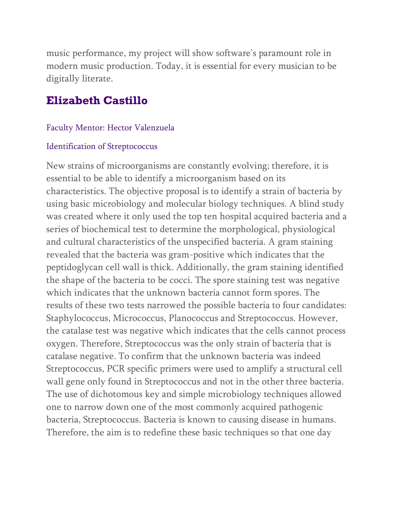music performance, my project will show software's paramount role in modern music production. Today, it is essential for every musician to be digitally literate.

# **Elizabeth Castillo**

### Faculty Mentor: Hector Valenzuela

### Identification of Streptococcus

New strains of microorganisms are constantly evolving; therefore, it is essential to be able to identify a microorganism based on its characteristics. The objective proposal is to identify a strain of bacteria by using basic microbiology and molecular biology techniques. A blind study was created where it only used the top ten hospital acquired bacteria and a series of biochemical test to determine the morphological, physiological and cultural characteristics of the unspecified bacteria. A gram staining revealed that the bacteria was gram-positive which indicates that the peptidoglycan cell wall is thick. Additionally, the gram staining identified the shape of the bacteria to be cocci. The spore staining test was negative which indicates that the unknown bacteria cannot form spores. The results of these two tests narrowed the possible bacteria to four candidates: Staphylococcus, Micrococcus, Planococcus and Streptococcus. However, the catalase test was negative which indicates that the cells cannot process oxygen. Therefore, Streptococcus was the only strain of bacteria that is catalase negative. To confirm that the unknown bacteria was indeed Streptococcus, PCR specific primers were used to amplify a structural cell wall gene only found in Streptococcus and not in the other three bacteria. The use of dichotomous key and simple microbiology techniques allowed one to narrow down one of the most commonly acquired pathogenic bacteria, Streptococcus. Bacteria is known to causing disease in humans. Therefore, the aim is to redefine these basic techniques so that one day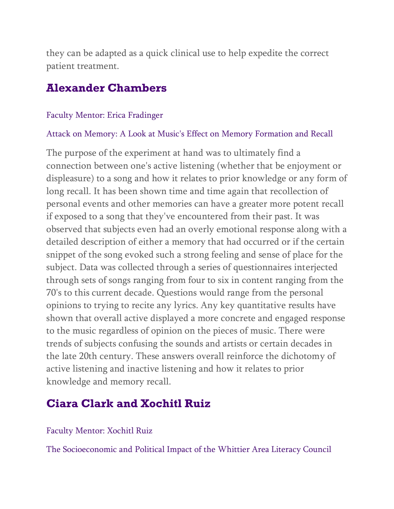they can be adapted as a quick clinical use to help expedite the correct patient treatment.

## **Alexander Chambers**

#### Faculty Mentor: Erica Fradinger

#### Attack on Memory: A Look at Music's Effect on Memory Formation and Recall

The purpose of the experiment at hand was to ultimately find a connection between one's active listening (whether that be enjoyment or displeasure) to a song and how it relates to prior knowledge or any form of long recall. It has been shown time and time again that recollection of personal events and other memories can have a greater more potent recall if exposed to a song that they've encountered from their past. It was observed that subjects even had an overly emotional response along with a detailed description of either a memory that had occurred or if the certain snippet of the song evoked such a strong feeling and sense of place for the subject. Data was collected through a series of questionnaires interjected through sets of songs ranging from four to six in content ranging from the 70's to this current decade. Questions would range from the personal opinions to trying to recite any lyrics. Any key quantitative results have shown that overall active displayed a more concrete and engaged response to the music regardless of opinion on the pieces of music. There were trends of subjects confusing the sounds and artists or certain decades in the late 20th century. These answers overall reinforce the dichotomy of active listening and inactive listening and how it relates to prior knowledge and memory recall.

# **Ciara Clark and Xochitl Ruiz**

#### Faculty Mentor: Xochitl Ruiz

The Socioeconomic and Political Impact of the Whittier Area Literacy Council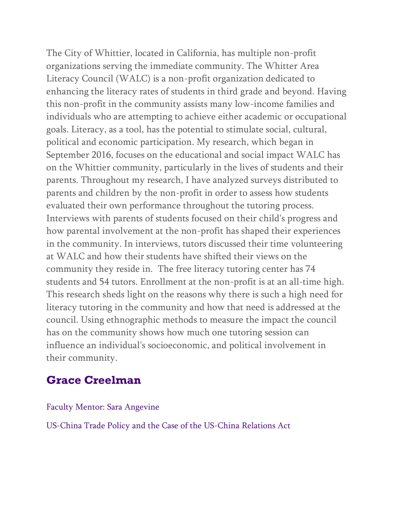The City of Whittier, located in California, has multiple non-profit organizations serving the immediate community. The Whitter Area Literacy Council (WALC) is a non-profit organization dedicated to enhancing the literacy rates of students in third grade and beyond. Having this non-profit in the community assists many low-income families and individuals who are attempting to achieve either academic or occupational goals. Literacy, as a tool, has the potential to stimulate social, cultural, political and economic participation. My research, which began in September 2016, focuses on the educational and social impact WALC has on the Whittier community, particularly in the lives of students and their parents. Throughout my research, I have analyzed surveys distributed to parents and children by the non-profit in order to assess how students evaluated their own performance throughout the tutoring process. Interviews with parents of students focused on their child's progress and how parental involvement at the non-profit has shaped their experiences in the community. In interviews, tutors discussed their time volunteering at WALC and how their students have shifted their views on the community they reside in. The free literacy tutoring center has 74 students and 54 tutors. Enrollment at the non-profit is at an all-time high. This research sheds light on the reasons why there is such a high need for literacy tutoring in the community and how that need is addressed at the council. Using ethnographic methods to measure the impact the council has on the community shows how much one tutoring session can influence an individual's socioeconomic, and political involvement in their community.

## **Grace Creelman**

#### Faculty Mentor: Sara Angevine

US-China Trade Policy and the Case of the US-China Relations Act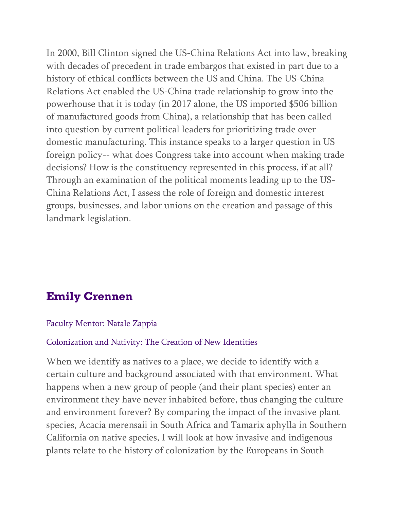In 2000, Bill Clinton signed the US-China Relations Act into law, breaking with decades of precedent in trade embargos that existed in part due to a history of ethical conflicts between the US and China. The US-China Relations Act enabled the US-China trade relationship to grow into the powerhouse that it is today (in 2017 alone, the US imported \$506 billion of manufactured goods from China), a relationship that has been called into question by current political leaders for prioritizing trade over domestic manufacturing. This instance speaks to a larger question in US foreign policy-- what does Congress take into account when making trade decisions? How is the constituency represented in this process, if at all? Through an examination of the political moments leading up to the US-China Relations Act, I assess the role of foreign and domestic interest groups, businesses, and labor unions on the creation and passage of this landmark legislation.

# **Emily Crennen**

#### Faculty Mentor: Natale Zappia

#### Colonization and Nativity: The Creation of New Identities

When we identify as natives to a place, we decide to identify with a certain culture and background associated with that environment. What happens when a new group of people (and their plant species) enter an environment they have never inhabited before, thus changing the culture and environment forever? By comparing the impact of the invasive plant species, Acacia merensaii in South Africa and Tamarix aphylla in Southern California on native species, I will look at how invasive and indigenous plants relate to the history of colonization by the Europeans in South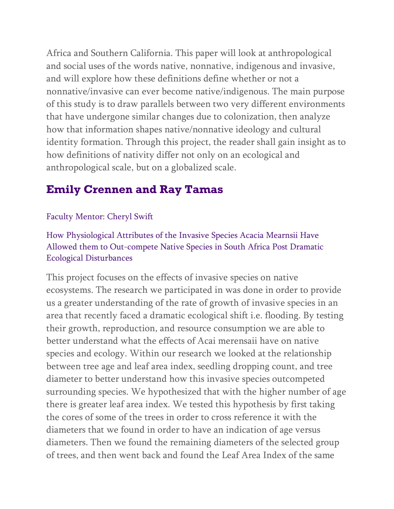Africa and Southern California. This paper will look at anthropological and social uses of the words native, nonnative, indigenous and invasive, and will explore how these definitions define whether or not a nonnative/invasive can ever become native/indigenous. The main purpose of this study is to draw parallels between two very different environments that have undergone similar changes due to colonization, then analyze how that information shapes native/nonnative ideology and cultural identity formation. Through this project, the reader shall gain insight as to how definitions of nativity differ not only on an ecological and anthropological scale, but on a globalized scale.

# **Emily Crennen and Ray Tamas**

### Faculty Mentor: Cheryl Swift

How Physiological Attributes of the Invasive Species Acacia Mearnsii Have Allowed them to Out-compete Native Species in South Africa Post Dramatic Ecological Disturbances

This project focuses on the effects of invasive species on native ecosystems. The research we participated in was done in order to provide us a greater understanding of the rate of growth of invasive species in an area that recently faced a dramatic ecological shift i.e. flooding. By testing their growth, reproduction, and resource consumption we are able to better understand what the effects of Acai merensaii have on native species and ecology. Within our research we looked at the relationship between tree age and leaf area index, seedling dropping count, and tree diameter to better understand how this invasive species outcompeted surrounding species. We hypothesized that with the higher number of age there is greater leaf area index. We tested this hypothesis by first taking the cores of some of the trees in order to cross reference it with the diameters that we found in order to have an indication of age versus diameters. Then we found the remaining diameters of the selected group of trees, and then went back and found the Leaf Area Index of the same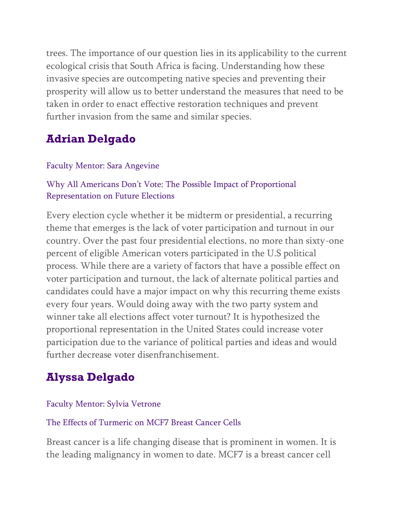trees. The importance of our question lies in its applicability to the current ecological crisis that South Africa is facing. Understanding how these invasive species are outcompeting native species and preventing their prosperity will allow us to better understand the measures that need to be taken in order to enact effective restoration techniques and prevent further invasion from the same and similar species.

# **Adrian Delgado**

### Faculty Mentor: Sara Angevine

## Why All Americans Don't Vote: The Possible Impact of Proportional Representation on Future Elections

Every election cycle whether it be midterm or presidential, a recurring theme that emerges is the lack of voter participation and turnout in our country. Over the past four presidential elections, no more than sixty-one percent of eligible American voters participated in the U.S political process. While there are a variety of factors that have a possible effect on voter participation and turnout, the lack of alternate political parties and candidates could have a major impact on why this recurring theme exists every four years. Would doing away with the two party system and winner take all elections affect voter turnout? It is hypothesized the proportional representation in the United States could increase voter participation due to the variance of political parties and ideas and would further decrease voter disenfranchisement.

# **Alyssa Delgado**

### Faculty Mentor: Sylvia Vetrone

### The Effects of Turmeric on MCF7 Breast Cancer Cells

Breast cancer is a life changing disease that is prominent in women. It is the leading malignancy in women to date. MCF7 is a breast cancer cell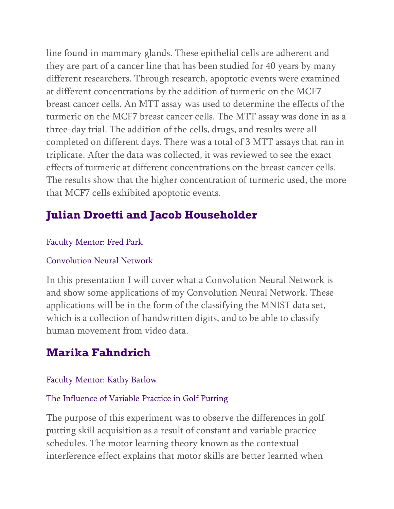line found in mammary glands. These epithelial cells are adherent and they are part of a cancer line that has been studied for 40 years by many different researchers. Through research, apoptotic events were examined at different concentrations by the addition of turmeric on the MCF7 breast cancer cells. An MTT assay was used to determine the effects of the turmeric on the MCF7 breast cancer cells. The MTT assay was done in as a three-day trial. The addition of the cells, drugs, and results were all completed on different days. There was a total of 3 MTT assays that ran in triplicate. After the data was collected, it was reviewed to see the exact effects of turmeric at different concentrations on the breast cancer cells. The results show that the higher concentration of turmeric used, the more that MCF7 cells exhibited apoptotic events.

# **Julian Droetti and Jacob Householder**

## Faculty Mentor: Fred Park

### Convolution Neural Network

In this presentation I will cover what a Convolution Neural Network is and show some applications of my Convolution Neural Network. These applications will be in the form of the classifying the MNIST data set, which is a collection of handwritten digits, and to be able to classify human movement from video data.

# **Marika Fahndrich**

## Faculty Mentor: Kathy Barlow

## The Influence of Variable Practice in Golf Putting

The purpose of this experiment was to observe the differences in golf putting skill acquisition as a result of constant and variable practice schedules. The motor learning theory known as the contextual interference effect explains that motor skills are better learned when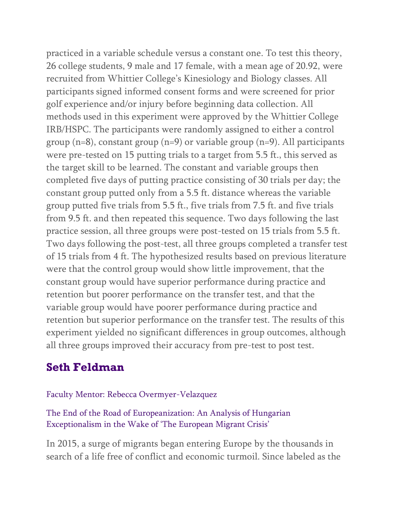practiced in a variable schedule versus a constant one. To test this theory, 26 college students, 9 male and 17 female, with a mean age of 20.92, were recruited from Whittier College's Kinesiology and Biology classes. All participants signed informed consent forms and were screened for prior golf experience and/or injury before beginning data collection. All methods used in this experiment were approved by the Whittier College IRB/HSPC. The participants were randomly assigned to either a control group  $(n=8)$ , constant group  $(n=9)$  or variable group  $(n=9)$ . All participants were pre-tested on 15 putting trials to a target from 5.5 ft., this served as the target skill to be learned. The constant and variable groups then completed five days of putting practice consisting of 30 trials per day; the constant group putted only from a 5.5 ft. distance whereas the variable group putted five trials from 5.5 ft., five trials from 7.5 ft. and five trials from 9.5 ft. and then repeated this sequence. Two days following the last practice session, all three groups were post-tested on 15 trials from 5.5 ft. Two days following the post-test, all three groups completed a transfer test of 15 trials from 4 ft. The hypothesized results based on previous literature were that the control group would show little improvement, that the constant group would have superior performance during practice and retention but poorer performance on the transfer test, and that the variable group would have poorer performance during practice and retention but superior performance on the transfer test. The results of this experiment yielded no significant differences in group outcomes, although all three groups improved their accuracy from pre-test to post test.

# **Seth Feldman**

Faculty Mentor: Rebecca Overmyer-Velazquez

The End of the Road of Europeanization: An Analysis of Hungarian Exceptionalism in the Wake of 'The European Migrant Crisis'

In 2015, a surge of migrants began entering Europe by the thousands in search of a life free of conflict and economic turmoil. Since labeled as the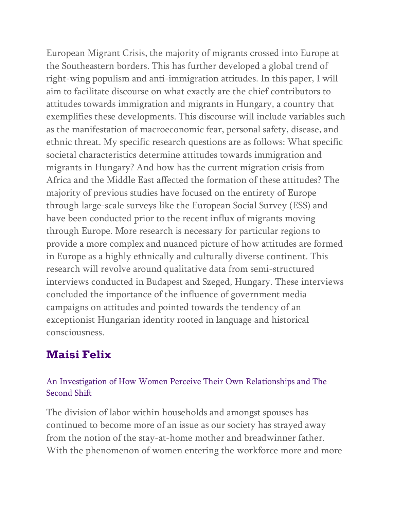European Migrant Crisis, the majority of migrants crossed into Europe at the Southeastern borders. This has further developed a global trend of right-wing populism and anti-immigration attitudes. In this paper, I will aim to facilitate discourse on what exactly are the chief contributors to attitudes towards immigration and migrants in Hungary, a country that exemplifies these developments. This discourse will include variables such as the manifestation of macroeconomic fear, personal safety, disease, and ethnic threat. My specific research questions are as follows: What specific societal characteristics determine attitudes towards immigration and migrants in Hungary? And how has the current migration crisis from Africa and the Middle East affected the formation of these attitudes? The majority of previous studies have focused on the entirety of Europe through large-scale surveys like the European Social Survey (ESS) and have been conducted prior to the recent influx of migrants moving through Europe. More research is necessary for particular regions to provide a more complex and nuanced picture of how attitudes are formed in Europe as a highly ethnically and culturally diverse continent. This research will revolve around qualitative data from semi-structured interviews conducted in Budapest and Szeged, Hungary. These interviews concluded the importance of the influence of government media campaigns on attitudes and pointed towards the tendency of an exceptionist Hungarian identity rooted in language and historical consciousness.

# **Maisi Felix**

### An Investigation of How Women Perceive Their Own Relationships and The Second Shift

The division of labor within households and amongst spouses has continued to become more of an issue as our society has strayed away from the notion of the stay-at-home mother and breadwinner father. With the phenomenon of women entering the workforce more and more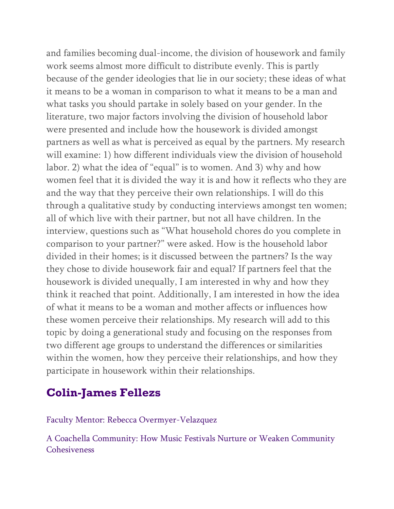and families becoming dual-income, the division of housework and family work seems almost more difficult to distribute evenly. This is partly because of the gender ideologies that lie in our society; these ideas of what it means to be a woman in comparison to what it means to be a man and what tasks you should partake in solely based on your gender. In the literature, two major factors involving the division of household labor were presented and include how the housework is divided amongst partners as well as what is perceived as equal by the partners. My research will examine: 1) how different individuals view the division of household labor. 2) what the idea of "equal" is to women. And 3) why and how women feel that it is divided the way it is and how it reflects who they are and the way that they perceive their own relationships. I will do this through a qualitative study by conducting interviews amongst ten women; all of which live with their partner, but not all have children. In the interview, questions such as "What household chores do you complete in comparison to your partner?" were asked. How is the household labor divided in their homes; is it discussed between the partners? Is the way they chose to divide housework fair and equal? If partners feel that the housework is divided unequally, I am interested in why and how they think it reached that point. Additionally, I am interested in how the idea of what it means to be a woman and mother affects or influences how these women perceive their relationships. My research will add to this topic by doing a generational study and focusing on the responses from two different age groups to understand the differences or similarities within the women, how they perceive their relationships, and how they participate in housework within their relationships.

# **Colin-James Fellezs**

Faculty Mentor: Rebecca Overmyer-Velazquez

A Coachella Community: How Music Festivals Nurture or Weaken Community Cohesiveness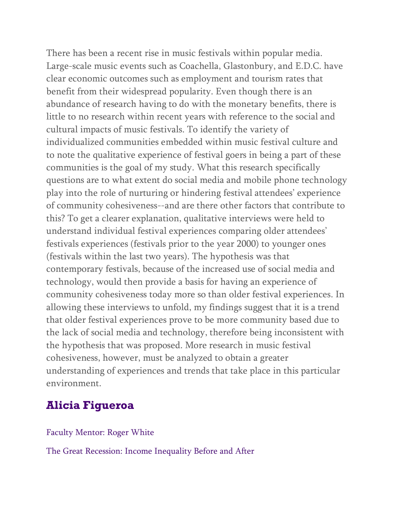There has been a recent rise in music festivals within popular media. Large-scale music events such as Coachella, Glastonbury, and E.D.C. have clear economic outcomes such as employment and tourism rates that benefit from their widespread popularity. Even though there is an abundance of research having to do with the monetary benefits, there is little to no research within recent years with reference to the social and cultural impacts of music festivals. To identify the variety of individualized communities embedded within music festival culture and to note the qualitative experience of festival goers in being a part of these communities is the goal of my study. What this research specifically questions are to what extent do social media and mobile phone technology play into the role of nurturing or hindering festival attendees' experience of community cohesiveness--and are there other factors that contribute to this? To get a clearer explanation, qualitative interviews were held to understand individual festival experiences comparing older attendees' festivals experiences (festivals prior to the year 2000) to younger ones (festivals within the last two years). The hypothesis was that contemporary festivals, because of the increased use of social media and technology, would then provide a basis for having an experience of community cohesiveness today more so than older festival experiences. In allowing these interviews to unfold, my findings suggest that it is a trend that older festival experiences prove to be more community based due to the lack of social media and technology, therefore being inconsistent with the hypothesis that was proposed. More research in music festival cohesiveness, however, must be analyzed to obtain a greater understanding of experiences and trends that take place in this particular environment.

# **Alicia Figueroa**

Faculty Mentor: Roger White

The Great Recession: Income Inequality Before and After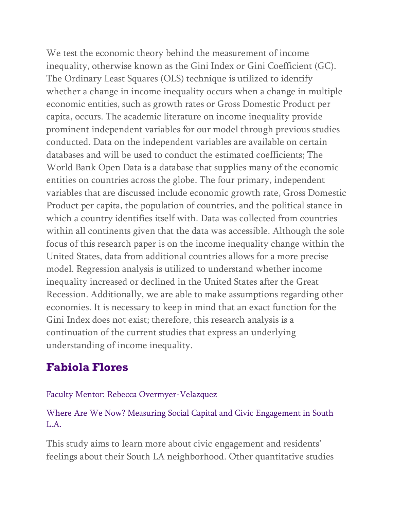We test the economic theory behind the measurement of income inequality, otherwise known as the Gini Index or Gini Coefficient (GC). The Ordinary Least Squares (OLS) technique is utilized to identify whether a change in income inequality occurs when a change in multiple economic entities, such as growth rates or Gross Domestic Product per capita, occurs. The academic literature on income inequality provide prominent independent variables for our model through previous studies conducted. Data on the independent variables are available on certain databases and will be used to conduct the estimated coefficients; The World Bank Open Data is a database that supplies many of the economic entities on countries across the globe. The four primary, independent variables that are discussed include economic growth rate, Gross Domestic Product per capita, the population of countries, and the political stance in which a country identifies itself with. Data was collected from countries within all continents given that the data was accessible. Although the sole focus of this research paper is on the income inequality change within the United States, data from additional countries allows for a more precise model. Regression analysis is utilized to understand whether income inequality increased or declined in the United States after the Great Recession. Additionally, we are able to make assumptions regarding other economies. It is necessary to keep in mind that an exact function for the Gini Index does not exist; therefore, this research analysis is a continuation of the current studies that express an underlying understanding of income inequality.

# **Fabiola Flores**

### Faculty Mentor: Rebecca Overmyer-Velazquez

## Where Are We Now? Measuring Social Capital and Civic Engagement in South L.A.

This study aims to learn more about civic engagement and residents' feelings about their South LA neighborhood. Other quantitative studies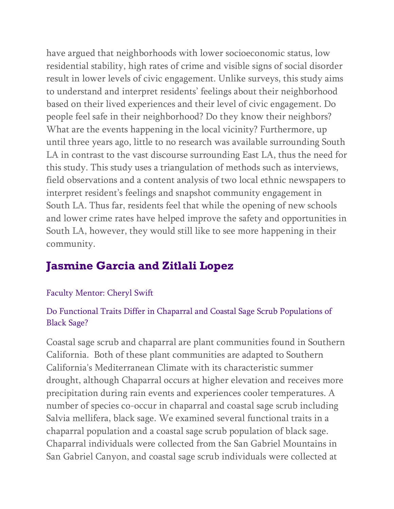have argued that neighborhoods with lower socioeconomic status, low residential stability, high rates of crime and visible signs of social disorder result in lower levels of civic engagement. Unlike surveys, this study aims to understand and interpret residents' feelings about their neighborhood based on their lived experiences and their level of civic engagement. Do people feel safe in their neighborhood? Do they know their neighbors? What are the events happening in the local vicinity? Furthermore, up until three years ago, little to no research was available surrounding South LA in contrast to the vast discourse surrounding East LA, thus the need for this study. This study uses a triangulation of methods such as interviews, field observations and a content analysis of two local ethnic newspapers to interpret resident's feelings and snapshot community engagement in South LA. Thus far, residents feel that while the opening of new schools and lower crime rates have helped improve the safety and opportunities in South LA, however, they would still like to see more happening in their community.

# **Jasmine Garcia and Zitlali Lopez**

## Faculty Mentor: Cheryl Swift

## Do Functional Traits Differ in Chaparral and Coastal Sage Scrub Populations of Black Sage?

Coastal sage scrub and chaparral are plant communities found in Southern California. Both of these plant communities are adapted to Southern California's Mediterranean Climate with its characteristic summer drought, although Chaparral occurs at higher elevation and receives more precipitation during rain events and experiences cooler temperatures. A number of species co-occur in chaparral and coastal sage scrub including Salvia mellifera, black sage. We examined several functional traits in a chaparral population and a coastal sage scrub population of black sage. Chaparral individuals were collected from the San Gabriel Mountains in San Gabriel Canyon, and coastal sage scrub individuals were collected at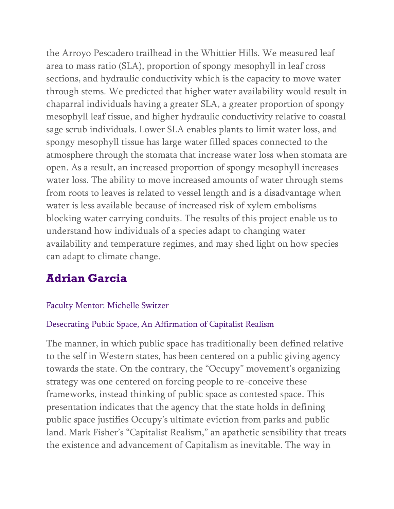the Arroyo Pescadero trailhead in the Whittier Hills. We measured leaf area to mass ratio (SLA), proportion of spongy mesophyll in leaf cross sections, and hydraulic conductivity which is the capacity to move water through stems. We predicted that higher water availability would result in chaparral individuals having a greater SLA, a greater proportion of spongy mesophyll leaf tissue, and higher hydraulic conductivity relative to coastal sage scrub individuals. Lower SLA enables plants to limit water loss, and spongy mesophyll tissue has large water filled spaces connected to the atmosphere through the stomata that increase water loss when stomata are open. As a result, an increased proportion of spongy mesophyll increases water loss. The ability to move increased amounts of water through stems from roots to leaves is related to vessel length and is a disadvantage when water is less available because of increased risk of xylem embolisms blocking water carrying conduits. The results of this project enable us to understand how individuals of a species adapt to changing water availability and temperature regimes, and may shed light on how species can adapt to climate change.

# **Adrian Garcia**

## Faculty Mentor: Michelle Switzer

## Desecrating Public Space, An Affirmation of Capitalist Realism

The manner, in which public space has traditionally been defined relative to the self in Western states, has been centered on a public giving agency towards the state. On the contrary, the "Occupy" movement's organizing strategy was one centered on forcing people to re-conceive these frameworks, instead thinking of public space as contested space. This presentation indicates that the agency that the state holds in defining public space justifies Occupy's ultimate eviction from parks and public land. Mark Fisher's "Capitalist Realism," an apathetic sensibility that treats the existence and advancement of Capitalism as inevitable. The way in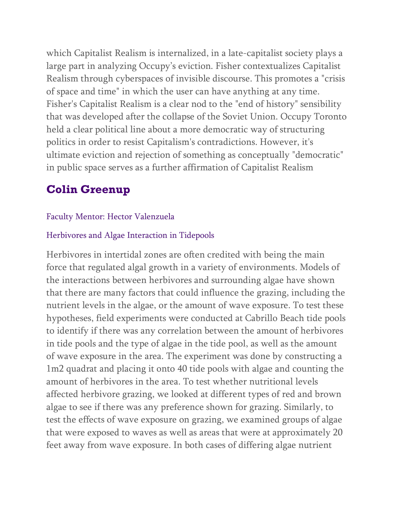which Capitalist Realism is internalized, in a late-capitalist society plays a large part in analyzing Occupy's eviction. Fisher contextualizes Capitalist Realism through cyberspaces of invisible discourse. This promotes a "crisis of space and time" in which the user can have anything at any time. Fisher's Capitalist Realism is a clear nod to the "end of history" sensibility that was developed after the collapse of the Soviet Union. Occupy Toronto held a clear political line about a more democratic way of structuring politics in order to resist Capitalism's contradictions. However, it's ultimate eviction and rejection of something as conceptually "democratic" in public space serves as a further affirmation of Capitalist Realism

# **Colin Greenup**

## Faculty Mentor: Hector Valenzuela

### Herbivores and Algae Interaction in Tidepools

Herbivores in intertidal zones are often credited with being the main force that regulated algal growth in a variety of environments. Models of the interactions between herbivores and surrounding algae have shown that there are many factors that could influence the grazing, including the nutrient levels in the algae, or the amount of wave exposure. To test these hypotheses, field experiments were conducted at Cabrillo Beach tide pools to identify if there was any correlation between the amount of herbivores in tide pools and the type of algae in the tide pool, as well as the amount of wave exposure in the area. The experiment was done by constructing a 1m2 quadrat and placing it onto 40 tide pools with algae and counting the amount of herbivores in the area. To test whether nutritional levels affected herbivore grazing, we looked at different types of red and brown algae to see if there was any preference shown for grazing. Similarly, to test the effects of wave exposure on grazing, we examined groups of algae that were exposed to waves as well as areas that were at approximately 20 feet away from wave exposure. In both cases of differing algae nutrient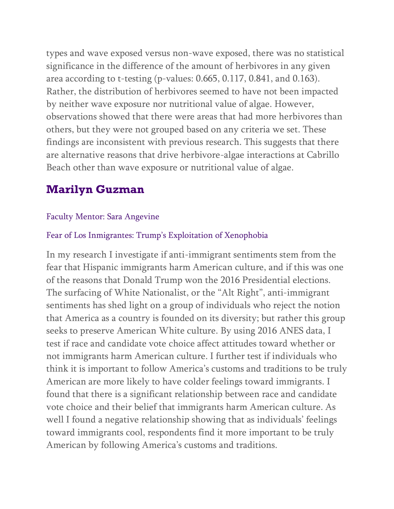types and wave exposed versus non-wave exposed, there was no statistical significance in the difference of the amount of herbivores in any given area according to t-testing (p-values: 0.665, 0.117, 0.841, and 0.163). Rather, the distribution of herbivores seemed to have not been impacted by neither wave exposure nor nutritional value of algae. However, observations showed that there were areas that had more herbivores than others, but they were not grouped based on any criteria we set. These findings are inconsistent with previous research. This suggests that there are alternative reasons that drive herbivore-algae interactions at Cabrillo Beach other than wave exposure or nutritional value of algae.

# **Marilyn Guzman**

### Faculty Mentor: Sara Angevine

## Fear of Los Inmigrantes: Trump's Exploitation of Xenophobia

In my research I investigate if anti-immigrant sentiments stem from the fear that Hispanic immigrants harm American culture, and if this was one of the reasons that Donald Trump won the 2016 Presidential elections. The surfacing of White Nationalist, or the "Alt Right", anti-immigrant sentiments has shed light on a group of individuals who reject the notion that America as a country is founded on its diversity; but rather this group seeks to preserve American White culture. By using 2016 ANES data, I test if race and candidate vote choice affect attitudes toward whether or not immigrants harm American culture. I further test if individuals who think it is important to follow America's customs and traditions to be truly American are more likely to have colder feelings toward immigrants. I found that there is a significant relationship between race and candidate vote choice and their belief that immigrants harm American culture. As well I found a negative relationship showing that as individuals' feelings toward immigrants cool, respondents find it more important to be truly American by following America's customs and traditions.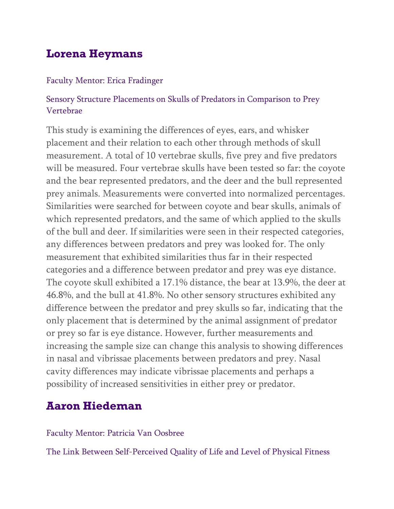# **Lorena Heymans**

### Faculty Mentor: Erica Fradinger

## Sensory Structure Placements on Skulls of Predators in Comparison to Prey Vertebrae

This study is examining the differences of eyes, ears, and whisker placement and their relation to each other through methods of skull measurement. A total of 10 vertebrae skulls, five prey and five predators will be measured. Four vertebrae skulls have been tested so far: the coyote and the bear represented predators, and the deer and the bull represented prey animals. Measurements were converted into normalized percentages. Similarities were searched for between coyote and bear skulls, animals of which represented predators, and the same of which applied to the skulls of the bull and deer. If similarities were seen in their respected categories, any differences between predators and prey was looked for. The only measurement that exhibited similarities thus far in their respected categories and a difference between predator and prey was eye distance. The coyote skull exhibited a 17.1% distance, the bear at 13.9%, the deer at 46.8%, and the bull at 41.8%. No other sensory structures exhibited any difference between the predator and prey skulls so far, indicating that the only placement that is determined by the animal assignment of predator or prey so far is eye distance. However, further measurements and increasing the sample size can change this analysis to showing differences in nasal and vibrissae placements between predators and prey. Nasal cavity differences may indicate vibrissae placements and perhaps a possibility of increased sensitivities in either prey or predator.

# **Aaron Hiedeman**

### Faculty Mentor: Patricia Van Oosbree

The Link Between Self-Perceived Quality of Life and Level of Physical Fitness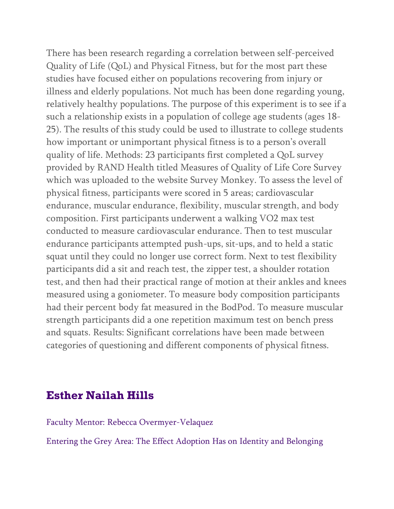There has been research regarding a correlation between self-perceived Quality of Life (QoL) and Physical Fitness, but for the most part these studies have focused either on populations recovering from injury or illness and elderly populations. Not much has been done regarding young, relatively healthy populations. The purpose of this experiment is to see if a such a relationship exists in a population of college age students (ages 18- 25). The results of this study could be used to illustrate to college students how important or unimportant physical fitness is to a person's overall quality of life. Methods: 23 participants first completed a QoL survey provided by RAND Health titled Measures of Quality of Life Core Survey which was uploaded to the website Survey Monkey. To assess the level of physical fitness, participants were scored in 5 areas; cardiovascular endurance, muscular endurance, flexibility, muscular strength, and body composition. First participants underwent a walking VO2 max test conducted to measure cardiovascular endurance. Then to test muscular endurance participants attempted push-ups, sit-ups, and to held a static squat until they could no longer use correct form. Next to test flexibility participants did a sit and reach test, the zipper test, a shoulder rotation test, and then had their practical range of motion at their ankles and knees measured using a goniometer. To measure body composition participants had their percent body fat measured in the BodPod. To measure muscular strength participants did a one repetition maximum test on bench press and squats. Results: Significant correlations have been made between categories of questioning and different components of physical fitness.

## **Esther Nailah Hills**

Faculty Mentor: Rebecca Overmyer-Velaquez

Entering the Grey Area: The Effect Adoption Has on Identity and Belonging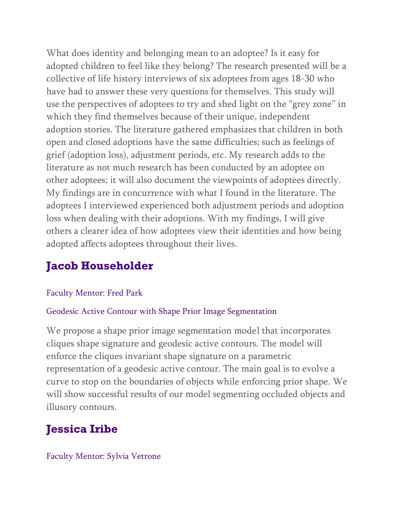What does identity and belonging mean to an adoptee? Is it easy for adopted children to feel like they belong? The research presented will be a collective of life history interviews of six adoptees from ages 18-30 who have had to answer these very questions for themselves. This study will use the perspectives of adoptees to try and shed light on the "grey zone" in which they find themselves because of their unique, independent adoption stories. The literature gathered emphasizes that children in both open and closed adoptions have the same difficulties; such as feelings of grief (adoption loss), adjustment periods, etc. My research adds to the literature as not much research has been conducted by an adoptee on other adoptees; it will also document the viewpoints of adoptees directly. My findings are in concurrence with what I found in the literature. The adoptees I interviewed experienced both adjustment periods and adoption loss when dealing with their adoptions. With my findings, I will give others a clearer idea of how adoptees view their identities and how being adopted affects adoptees throughout their lives.

# **Jacob Householder**

## Faculty Mentor: Fred Park

### Geodesic Active Contour with Shape Prior Image Segmentation

We propose a shape prior image segmentation model that incorporates cliques shape signature and geodesic active contours. The model will enforce the cliques invariant shape signature on a parametric representation of a geodesic active contour. The main goal is to evolve a curve to stop on the boundaries of objects while enforcing prior shape. We will show successful results of our model segmenting occluded objects and illusory contours.

# **Jessica Iribe**

### Faculty Mentor: Sylvia Vetrone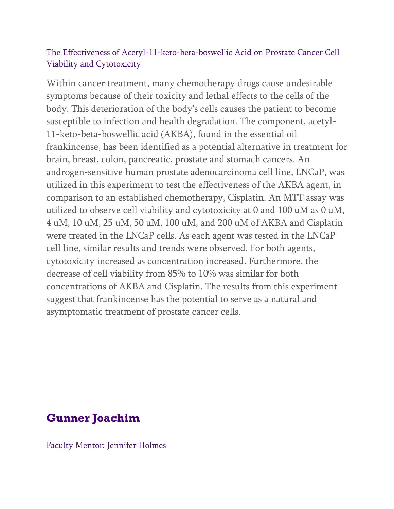### The Effectiveness of Acetyl-11-keto-beta-boswellic Acid on Prostate Cancer Cell Viability and Cytotoxicity

Within cancer treatment, many chemotherapy drugs cause undesirable symptoms because of their toxicity and lethal effects to the cells of the body. This deterioration of the body's cells causes the patient to become susceptible to infection and health degradation. The component, acetyl-11-keto-beta-boswellic acid (AKBA), found in the essential oil frankincense, has been identified as a potential alternative in treatment for brain, breast, colon, pancreatic, prostate and stomach cancers. An androgen-sensitive human prostate adenocarcinoma cell line, LNCaP, was utilized in this experiment to test the effectiveness of the AKBA agent, in comparison to an established chemotherapy, Cisplatin. An MTT assay was utilized to observe cell viability and cytotoxicity at 0 and 100 uM as 0 uM, 4 uM, 10 uM, 25 uM, 50 uM, 100 uM, and 200 uM of AKBA and Cisplatin were treated in the LNCaP cells. As each agent was tested in the LNCaP cell line, similar results and trends were observed. For both agents, cytotoxicity increased as concentration increased. Furthermore, the decrease of cell viability from 85% to 10% was similar for both concentrations of AKBA and Cisplatin. The results from this experiment suggest that frankincense has the potential to serve as a natural and asymptomatic treatment of prostate cancer cells.

# **Gunner Joachim**

Faculty Mentor: Jennifer Holmes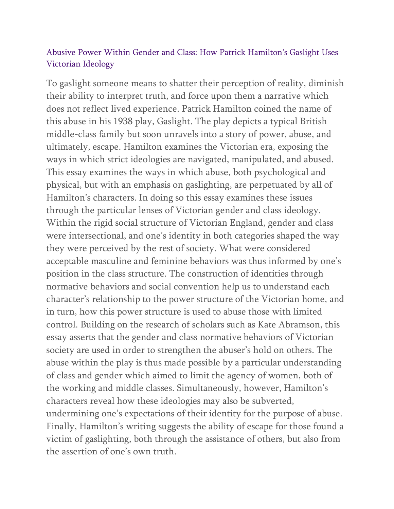## Abusive Power Within Gender and Class: How Patrick Hamilton's Gaslight Uses Victorian Ideology

To gaslight someone means to shatter their perception of reality, diminish their ability to interpret truth, and force upon them a narrative which does not reflect lived experience. Patrick Hamilton coined the name of this abuse in his 1938 play, Gaslight. The play depicts a typical British middle-class family but soon unravels into a story of power, abuse, and ultimately, escape. Hamilton examines the Victorian era, exposing the ways in which strict ideologies are navigated, manipulated, and abused. This essay examines the ways in which abuse, both psychological and physical, but with an emphasis on gaslighting, are perpetuated by all of Hamilton's characters. In doing so this essay examines these issues through the particular lenses of Victorian gender and class ideology. Within the rigid social structure of Victorian England, gender and class were intersectional, and one's identity in both categories shaped the way they were perceived by the rest of society. What were considered acceptable masculine and feminine behaviors was thus informed by one's position in the class structure. The construction of identities through normative behaviors and social convention help us to understand each character's relationship to the power structure of the Victorian home, and in turn, how this power structure is used to abuse those with limited control. Building on the research of scholars such as Kate Abramson, this essay asserts that the gender and class normative behaviors of Victorian society are used in order to strengthen the abuser's hold on others. The abuse within the play is thus made possible by a particular understanding of class and gender which aimed to limit the agency of women, both of the working and middle classes. Simultaneously, however, Hamilton's characters reveal how these ideologies may also be subverted, undermining one's expectations of their identity for the purpose of abuse. Finally, Hamilton's writing suggests the ability of escape for those found a victim of gaslighting, both through the assistance of others, but also from the assertion of one's own truth.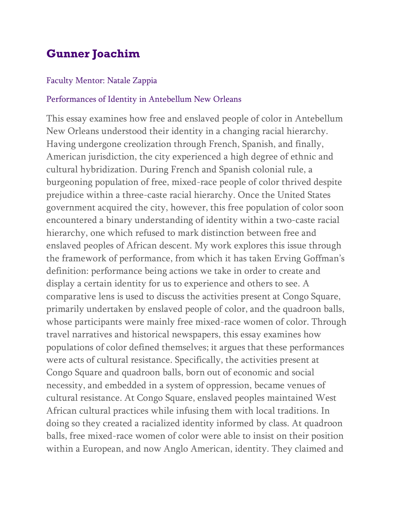# **Gunner Joachim**

#### Faculty Mentor: Natale Zappia

#### Performances of Identity in Antebellum New Orleans

This essay examines how free and enslaved people of color in Antebellum New Orleans understood their identity in a changing racial hierarchy. Having undergone creolization through French, Spanish, and finally, American jurisdiction, the city experienced a high degree of ethnic and cultural hybridization. During French and Spanish colonial rule, a burgeoning population of free, mixed-race people of color thrived despite prejudice within a three-caste racial hierarchy. Once the United States government acquired the city, however, this free population of color soon encountered a binary understanding of identity within a two-caste racial hierarchy, one which refused to mark distinction between free and enslaved peoples of African descent. My work explores this issue through the framework of performance, from which it has taken Erving Goffman's definition: performance being actions we take in order to create and display a certain identity for us to experience and others to see. A comparative lens is used to discuss the activities present at Congo Square, primarily undertaken by enslaved people of color, and the quadroon balls, whose participants were mainly free mixed-race women of color. Through travel narratives and historical newspapers, this essay examines how populations of color defined themselves; it argues that these performances were acts of cultural resistance. Specifically, the activities present at Congo Square and quadroon balls, born out of economic and social necessity, and embedded in a system of oppression, became venues of cultural resistance. At Congo Square, enslaved peoples maintained West African cultural practices while infusing them with local traditions. In doing so they created a racialized identity informed by class. At quadroon balls, free mixed-race women of color were able to insist on their position within a European, and now Anglo American, identity. They claimed and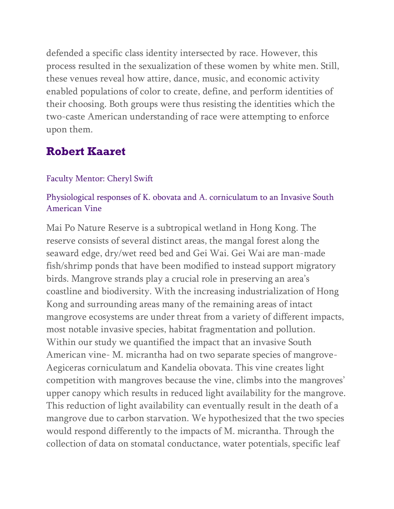defended a specific class identity intersected by race. However, this process resulted in the sexualization of these women by white men. Still, these venues reveal how attire, dance, music, and economic activity enabled populations of color to create, define, and perform identities of their choosing. Both groups were thus resisting the identities which the two-caste American understanding of race were attempting to enforce upon them.

## **Robert Kaaret**

#### Faculty Mentor: Cheryl Swift

### Physiological responses of K. obovata and A. corniculatum to an Invasive South American Vine

Mai Po Nature Reserve is a subtropical wetland in Hong Kong. The reserve consists of several distinct areas, the mangal forest along the seaward edge, dry/wet reed bed and Gei Wai. Gei Wai are man-made fish/shrimp ponds that have been modified to instead support migratory birds. Mangrove strands play a crucial role in preserving an area's coastline and biodiversity. With the increasing industrialization of Hong Kong and surrounding areas many of the remaining areas of intact mangrove ecosystems are under threat from a variety of different impacts, most notable invasive species, habitat fragmentation and pollution. Within our study we quantified the impact that an invasive South American vine- M. micrantha had on two separate species of mangrove-Aegiceras corniculatum and Kandelia obovata. This vine creates light competition with mangroves because the vine, climbs into the mangroves' upper canopy which results in reduced light availability for the mangrove. This reduction of light availability can eventually result in the death of a mangrove due to carbon starvation. We hypothesized that the two species would respond differently to the impacts of M. micrantha. Through the collection of data on stomatal conductance, water potentials, specific leaf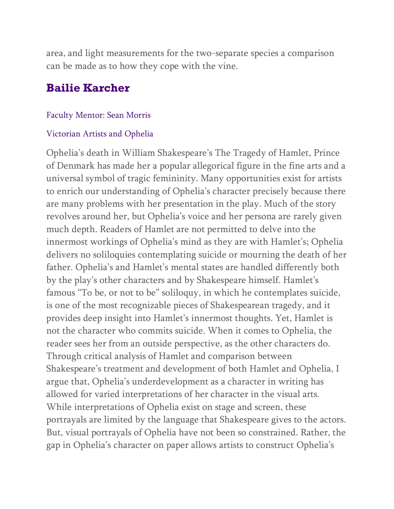area, and light measurements for the two-separate species a comparison can be made as to how they cope with the vine.

## **Bailie Karcher**

#### Faculty Mentor: Sean Morris

#### Victorian Artists and Ophelia

Ophelia's death in William Shakespeare's The Tragedy of Hamlet, Prince of Denmark has made her a popular allegorical figure in the fine arts and a universal symbol of tragic femininity. Many opportunities exist for artists to enrich our understanding of Ophelia's character precisely because there are many problems with her presentation in the play. Much of the story revolves around her, but Ophelia's voice and her persona are rarely given much depth. Readers of Hamlet are not permitted to delve into the innermost workings of Ophelia's mind as they are with Hamlet's; Ophelia delivers no soliloquies contemplating suicide or mourning the death of her father. Ophelia's and Hamlet's mental states are handled differently both by the play's other characters and by Shakespeare himself. Hamlet's famous "To be, or not to be" soliloquy, in which he contemplates suicide, is one of the most recognizable pieces of Shakespearean tragedy, and it provides deep insight into Hamlet's innermost thoughts. Yet, Hamlet is not the character who commits suicide. When it comes to Ophelia, the reader sees her from an outside perspective, as the other characters do. Through critical analysis of Hamlet and comparison between Shakespeare's treatment and development of both Hamlet and Ophelia, I argue that, Ophelia's underdevelopment as a character in writing has allowed for varied interpretations of her character in the visual arts. While interpretations of Ophelia exist on stage and screen, these portrayals are limited by the language that Shakespeare gives to the actors. But, visual portrayals of Ophelia have not been so constrained. Rather, the gap in Ophelia's character on paper allows artists to construct Ophelia's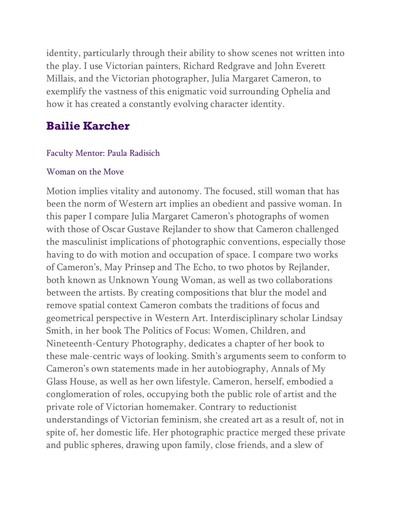identity, particularly through their ability to show scenes not written into the play. I use Victorian painters, Richard Redgrave and John Everett Millais, and the Victorian photographer, Julia Margaret Cameron, to exemplify the vastness of this enigmatic void surrounding Ophelia and how it has created a constantly evolving character identity.

# **Bailie Karcher**

### Faculty Mentor: Paula Radisich

#### Woman on the Move

Motion implies vitality and autonomy. The focused, still woman that has been the norm of Western art implies an obedient and passive woman. In this paper I compare Julia Margaret Cameron's photographs of women with those of Oscar Gustave Rejlander to show that Cameron challenged the masculinist implications of photographic conventions, especially those having to do with motion and occupation of space. I compare two works of Cameron's, May Prinsep and The Echo, to two photos by Rejlander, both known as Unknown Young Woman, as well as two collaborations between the artists. By creating compositions that blur the model and remove spatial context Cameron combats the traditions of focus and geometrical perspective in Western Art. Interdisciplinary scholar Lindsay Smith, in her book The Politics of Focus: Women, Children, and Nineteenth-Century Photography, dedicates a chapter of her book to these male-centric ways of looking. Smith's arguments seem to conform to Cameron's own statements made in her autobiography, Annals of My Glass House, as well as her own lifestyle. Cameron, herself, embodied a conglomeration of roles, occupying both the public role of artist and the private role of Victorian homemaker. Contrary to reductionist understandings of Victorian feminism, she created art as a result of, not in spite of, her domestic life. Her photographic practice merged these private and public spheres, drawing upon family, close friends, and a slew of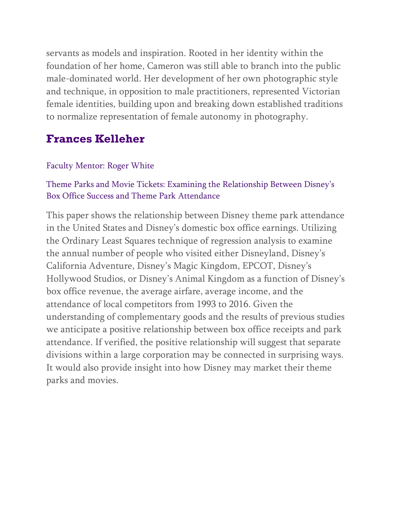servants as models and inspiration. Rooted in her identity within the foundation of her home, Cameron was still able to branch into the public male-dominated world. Her development of her own photographic style and technique, in opposition to male practitioners, represented Victorian female identities, building upon and breaking down established traditions to normalize representation of female autonomy in photography.

# **Frances Kelleher**

## Faculty Mentor: Roger White

## Theme Parks and Movie Tickets: Examining the Relationship Between Disney's Box Office Success and Theme Park Attendance

This paper shows the relationship between Disney theme park attendance in the United States and Disney's domestic box office earnings. Utilizing the Ordinary Least Squares technique of regression analysis to examine the annual number of people who visited either Disneyland, Disney's California Adventure, Disney's Magic Kingdom, EPCOT, Disney's Hollywood Studios, or Disney's Animal Kingdom as a function of Disney's box office revenue, the average airfare, average income, and the attendance of local competitors from 1993 to 2016. Given the understanding of complementary goods and the results of previous studies we anticipate a positive relationship between box office receipts and park attendance. If verified, the positive relationship will suggest that separate divisions within a large corporation may be connected in surprising ways. It would also provide insight into how Disney may market their theme parks and movies.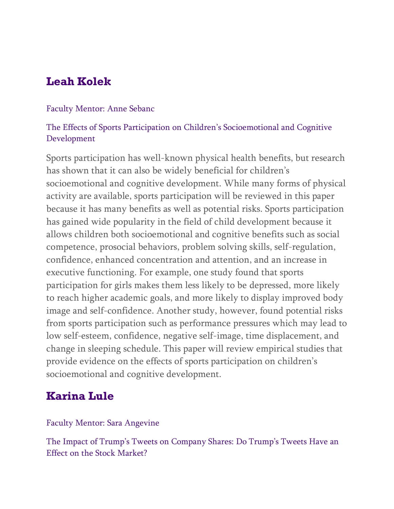# **Leah Kolek**

#### Faculty Mentor: Anne Sebanc

### The Effects of Sports Participation on Children's Socioemotional and Cognitive Development

Sports participation has well-known physical health benefits, but research has shown that it can also be widely beneficial for children's socioemotional and cognitive development. While many forms of physical activity are available, sports participation will be reviewed in this paper because it has many benefits as well as potential risks. Sports participation has gained wide popularity in the field of child development because it allows children both socioemotional and cognitive benefits such as social competence, prosocial behaviors, problem solving skills, self-regulation, confidence, enhanced concentration and attention, and an increase in executive functioning. For example, one study found that sports participation for girls makes them less likely to be depressed, more likely to reach higher academic goals, and more likely to display improved body image and self-confidence. Another study, however, found potential risks from sports participation such as performance pressures which may lead to low self-esteem, confidence, negative self-image, time displacement, and change in sleeping schedule. This paper will review empirical studies that provide evidence on the effects of sports participation on children's socioemotional and cognitive development.

## **Karina Lule**

### Faculty Mentor: Sara Angevine

The Impact of Trump's Tweets on Company Shares: Do Trump's Tweets Have an Effect on the Stock Market?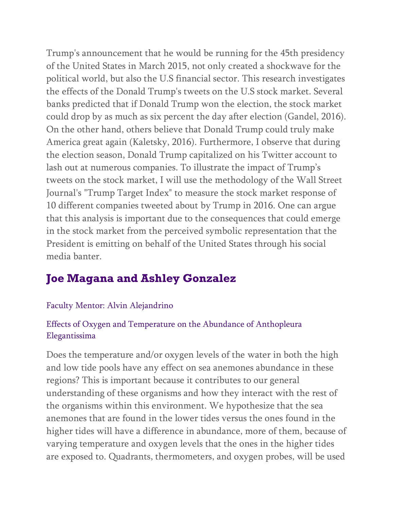Trump's announcement that he would be running for the 45th presidency of the United States in March 2015, not only created a shockwave for the political world, but also the U.S financial sector. This research investigates the effects of the Donald Trump's tweets on the U.S stock market. Several banks predicted that if Donald Trump won the election, the stock market could drop by as much as six percent the day after election (Gandel, 2016). On the other hand, others believe that Donald Trump could truly make America great again (Kaletsky, 2016). Furthermore, I observe that during the election season, Donald Trump capitalized on his Twitter account to lash out at numerous companies. To illustrate the impact of Trump's tweets on the stock market, I will use the methodology of the Wall Street Journal's "Trump Target Index" to measure the stock market response of 10 different companies tweeted about by Trump in 2016. One can argue that this analysis is important due to the consequences that could emerge in the stock market from the perceived symbolic representation that the President is emitting on behalf of the United States through his social media banter.

# **Joe Magana and Ashley Gonzalez**

### Faculty Mentor: Alvin Alejandrino

### Effects of Oxygen and Temperature on the Abundance of Anthopleura Elegantissima

Does the temperature and/or oxygen levels of the water in both the high and low tide pools have any effect on sea anemones abundance in these regions? This is important because it contributes to our general understanding of these organisms and how they interact with the rest of the organisms within this environment. We hypothesize that the sea anemones that are found in the lower tides versus the ones found in the higher tides will have a difference in abundance, more of them, because of varying temperature and oxygen levels that the ones in the higher tides are exposed to. Quadrants, thermometers, and oxygen probes, will be used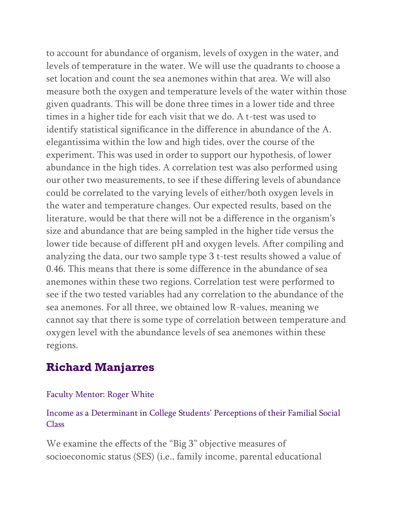to account for abundance of organism, levels of oxygen in the water, and levels of temperature in the water. We will use the quadrants to choose a set location and count the sea anemones within that area. We will also measure both the oxygen and temperature levels of the water within those given quadrants. This will be done three times in a lower tide and three times in a higher tide for each visit that we do. A t-test was used to identify statistical significance in the difference in abundance of the A. elegantissima within the low and high tides, over the course of the experiment. This was used in order to support our hypothesis, of lower abundance in the high tides. A correlation test was also performed using our other two measurements, to see if these differing levels of abundance could be correlated to the varying levels of either/both oxygen levels in the water and temperature changes. Our expected results, based on the literature, would be that there will not be a difference in the organism's size and abundance that are being sampled in the higher tide versus the lower tide because of different pH and oxygen levels. After compiling and analyzing the data, our two sample type 3 t-test results showed a value of 0.46. This means that there is some difference in the abundance of sea anemones within these two regions. Correlation test were performed to see if the two tested variables had any correlation to the abundance of the sea anemones. For all three, we obtained low R-values, meaning we cannot say that there is some type of correlation between temperature and oxygen level with the abundance levels of sea anemones within these regions.

# **Richard Manjarres**

### Faculty Mentor: Roger White

Income as a Determinant in College Students' Perceptions of their Familial Social Class

We examine the effects of the "Big 3" objective measures of socioeconomic status (SES) (i.e., family income, parental educational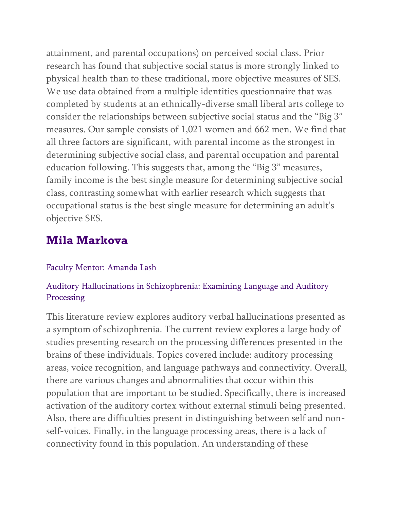attainment, and parental occupations) on perceived social class. Prior research has found that subjective social status is more strongly linked to physical health than to these traditional, more objective measures of SES. We use data obtained from a multiple identities questionnaire that was completed by students at an ethnically-diverse small liberal arts college to consider the relationships between subjective social status and the "Big 3" measures. Our sample consists of 1,021 women and 662 men. We find that all three factors are significant, with parental income as the strongest in determining subjective social class, and parental occupation and parental education following. This suggests that, among the "Big 3" measures, family income is the best single measure for determining subjective social class, contrasting somewhat with earlier research which suggests that occupational status is the best single measure for determining an adult's objective SES.

## **Mila Markova**

#### Faculty Mentor: Amanda Lash

### Auditory Hallucinations in Schizophrenia: Examining Language and Auditory Processing

This literature review explores auditory verbal hallucinations presented as a symptom of schizophrenia. The current review explores a large body of studies presenting research on the processing differences presented in the brains of these individuals. Topics covered include: auditory processing areas, voice recognition, and language pathways and connectivity. Overall, there are various changes and abnormalities that occur within this population that are important to be studied. Specifically, there is increased activation of the auditory cortex without external stimuli being presented. Also, there are difficulties present in distinguishing between self and nonself-voices. Finally, in the language processing areas, there is a lack of connectivity found in this population. An understanding of these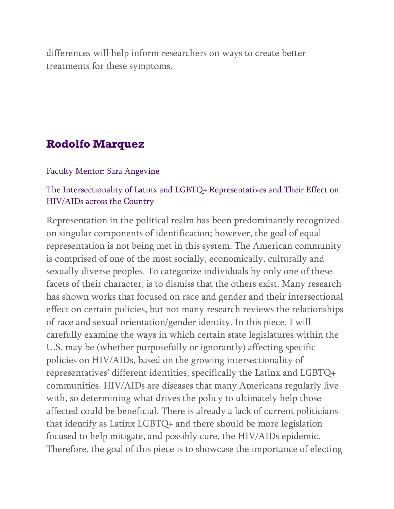differences will help inform researchers on ways to create better treatments for these symptoms.

### **Rodolfo Marquez**

#### Faculty Mentor: Sara Angevine

### The Intersectionality of Latinx and LGBTQ+ Representatives and Their Effect on HIV/AIDs across the Country

Representation in the political realm has been predominantly recognized on singular components of identification; however, the goal of equal representation is not being met in this system. The American community is comprised of one of the most socially, economically, culturally and sexually diverse peoples. To categorize individuals by only one of these facets of their character, is to dismiss that the others exist. Many research has shown works that focused on race and gender and their intersectional effect on certain policies, but not many research reviews the relationships of race and sexual orientation/gender identity. In this piece, I will carefully examine the ways in which certain state legislatures within the U.S. may be (whether purposefully or ignorantly) affecting specific policies on HIV/AIDs, based on the growing intersectionality of representatives' different identities, specifically the Latinx and LGBTQ+ communities. HIV/AIDs are diseases that many Americans regularly live with, so determining what drives the policy to ultimately help those affected could be beneficial. There is already a lack of current politicians that identify as Latinx LGBTQ+ and there should be more legislation focused to help mitigate, and possibly cure, the HIV/AIDs epidemic. Therefore, the goal of this piece is to showcase the importance of electing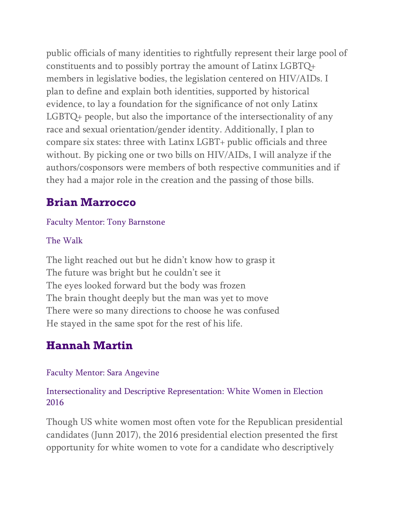public officials of many identities to rightfully represent their large pool of constituents and to possibly portray the amount of Latinx LGBTQ+ members in legislative bodies, the legislation centered on HIV/AIDs. I plan to define and explain both identities, supported by historical evidence, to lay a foundation for the significance of not only Latinx LGBTQ+ people, but also the importance of the intersectionality of any race and sexual orientation/gender identity. Additionally, I plan to compare six states: three with Latinx LGBT+ public officials and three without. By picking one or two bills on HIV/AIDs, I will analyze if the authors/cosponsors were members of both respective communities and if they had a major role in the creation and the passing of those bills.

# **Brian Marrocco**

### Faculty Mentor: Tony Barnstone

### The Walk

The light reached out but he didn't know how to grasp it The future was bright but he couldn't see it The eyes looked forward but the body was frozen The brain thought deeply but the man was yet to move There were so many directions to choose he was confused He stayed in the same spot for the rest of his life.

# **Hannah Martin**

### Faculty Mentor: Sara Angevine

### Intersectionality and Descriptive Representation: White Women in Election 2016

Though US white women most often vote for the Republican presidential candidates (Junn 2017), the 2016 presidential election presented the first opportunity for white women to vote for a candidate who descriptively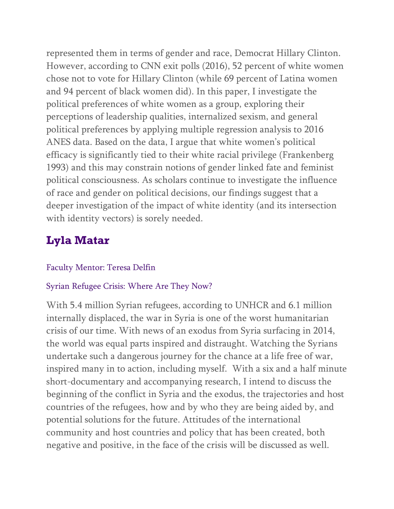represented them in terms of gender and race, Democrat Hillary Clinton. However, according to CNN exit polls (2016), 52 percent of white women chose not to vote for Hillary Clinton (while 69 percent of Latina women and 94 percent of black women did). In this paper, I investigate the political preferences of white women as a group, exploring their perceptions of leadership qualities, internalized sexism, and general political preferences by applying multiple regression analysis to 2016 ANES data. Based on the data, I argue that white women's political efficacy is significantly tied to their white racial privilege (Frankenberg 1993) and this may constrain notions of gender linked fate and feminist political consciousness. As scholars continue to investigate the influence of race and gender on political decisions, our findings suggest that a deeper investigation of the impact of white identity (and its intersection with identity vectors) is sorely needed.

# **Lyla Matar**

### Faculty Mentor: Teresa Delfin

### Syrian Refugee Crisis: Where Are They Now?

With 5.4 million Syrian refugees, according to UNHCR and 6.1 million internally displaced, the war in Syria is one of the worst humanitarian crisis of our time. With news of an exodus from Syria surfacing in 2014, the world was equal parts inspired and distraught. Watching the Syrians undertake such a dangerous journey for the chance at a life free of war, inspired many in to action, including myself. With a six and a half minute short-documentary and accompanying research, I intend to discuss the beginning of the conflict in Syria and the exodus, the trajectories and host countries of the refugees, how and by who they are being aided by, and potential solutions for the future. Attitudes of the international community and host countries and policy that has been created, both negative and positive, in the face of the crisis will be discussed as well.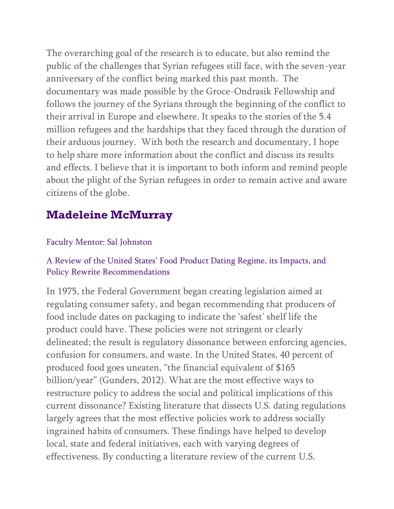The overarching goal of the research is to educate, but also remind the public of the challenges that Syrian refugees still face, with the seven-year anniversary of the conflict being marked this past month. The documentary was made possible by the Groce-Ondrasik Fellowship and follows the journey of the Syrians through the beginning of the conflict to their arrival in Europe and elsewhere. It speaks to the stories of the 5.4 million refugees and the hardships that they faced through the duration of their arduous journey. With both the research and documentary, I hope to help share more information about the conflict and discuss its results and effects. I believe that it is important to both inform and remind people about the plight of the Syrian refugees in order to remain active and aware citizens of the globe.

# **Madeleine McMurray**

### Faculty Mentor: Sal Johnston

### A Review of the United States' Food Product Dating Regime, its Impacts, and Policy Rewrite Recommendations

In 1975, the Federal Government began creating legislation aimed at regulating consumer safety, and began recommending that producers of food include dates on packaging to indicate the 'safest' shelf life the product could have. These policies were not stringent or clearly delineated; the result is regulatory dissonance between enforcing agencies, confusion for consumers, and waste. In the United States, 40 percent of produced food goes uneaten, "the financial equivalent of \$165 billion/year" (Gunders, 2012). What are the most effective ways to restructure policy to address the social and political implications of this current dissonance? Existing literature that dissects U.S. dating regulations largely agrees that the most effective policies work to address socially ingrained habits of consumers. These findings have helped to develop local, state and federal initiatives, each with varying degrees of effectiveness. By conducting a literature review of the current U.S.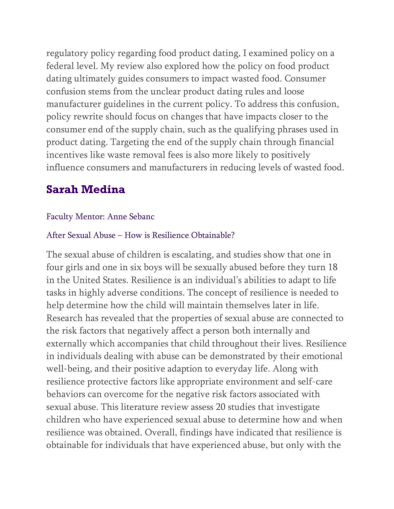regulatory policy regarding food product dating, I examined policy on a federal level. My review also explored how the policy on food product dating ultimately guides consumers to impact wasted food. Consumer confusion stems from the unclear product dating rules and loose manufacturer guidelines in the current policy. To address this confusion, policy rewrite should focus on changes that have impacts closer to the consumer end of the supply chain, such as the qualifying phrases used in product dating. Targeting the end of the supply chain through financial incentives like waste removal fees is also more likely to positively influence consumers and manufacturers in reducing levels of wasted food.

# **Sarah Medina**

### Faculty Mentor: Anne Sebanc

### After Sexual Abuse – How is Resilience Obtainable?

The sexual abuse of children is escalating, and studies show that one in four girls and one in six boys will be sexually abused before they turn 18 in the United States. Resilience is an individual's abilities to adapt to life tasks in highly adverse conditions. The concept of resilience is needed to help determine how the child will maintain themselves later in life. Research has revealed that the properties of sexual abuse are connected to the risk factors that negatively affect a person both internally and externally which accompanies that child throughout their lives. Resilience in individuals dealing with abuse can be demonstrated by their emotional well-being, and their positive adaption to everyday life. Along with resilience protective factors like appropriate environment and self-care behaviors can overcome for the negative risk factors associated with sexual abuse. This literature review assess 20 studies that investigate children who have experienced sexual abuse to determine how and when resilience was obtained. Overall, findings have indicated that resilience is obtainable for individuals that have experienced abuse, but only with the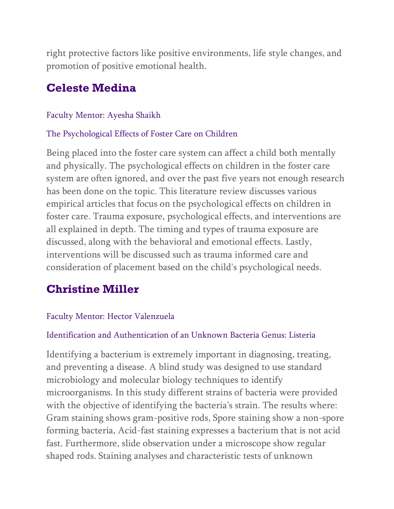right protective factors like positive environments, life style changes, and promotion of positive emotional health.

## **Celeste Medina**

#### Faculty Mentor: Ayesha Shaikh

#### The Psychological Effects of Foster Care on Children

Being placed into the foster care system can affect a child both mentally and physically. The psychological effects on children in the foster care system are often ignored, and over the past five years not enough research has been done on the topic. This literature review discusses various empirical articles that focus on the psychological effects on children in foster care. Trauma exposure, psychological effects, and interventions are all explained in depth. The timing and types of trauma exposure are discussed, along with the behavioral and emotional effects. Lastly, interventions will be discussed such as trauma informed care and consideration of placement based on the child's psychological needs.

## **Christine Miller**

### Faculty Mentor: Hector Valenzuela

#### Identification and Authentication of an Unknown Bacteria Genus: Listeria

Identifying a bacterium is extremely important in diagnosing, treating, and preventing a disease. A blind study was designed to use standard microbiology and molecular biology techniques to identify microorganisms. In this study different strains of bacteria were provided with the objective of identifying the bacteria's strain. The results where: Gram staining shows gram-positive rods, Spore staining show a non-spore forming bacteria, Acid-fast staining expresses a bacterium that is not acid fast. Furthermore, slide observation under a microscope show regular shaped rods. Staining analyses and characteristic tests of unknown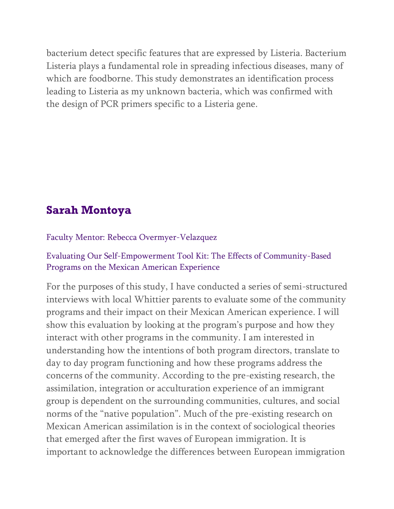bacterium detect specific features that are expressed by Listeria. Bacterium Listeria plays a fundamental role in spreading infectious diseases, many of which are foodborne. This study demonstrates an identification process leading to Listeria as my unknown bacteria, which was confirmed with the design of PCR primers specific to a Listeria gene.

# **Sarah Montoya**

Faculty Mentor: Rebecca Overmyer-Velazquez

### Evaluating Our Self-Empowerment Tool Kit: The Effects of Community-Based Programs on the Mexican American Experience

For the purposes of this study, I have conducted a series of semi-structured interviews with local Whittier parents to evaluate some of the community programs and their impact on their Mexican American experience. I will show this evaluation by looking at the program's purpose and how they interact with other programs in the community. I am interested in understanding how the intentions of both program directors, translate to day to day program functioning and how these programs address the concerns of the community. According to the pre-existing research, the assimilation, integration or acculturation experience of an immigrant group is dependent on the surrounding communities, cultures, and social norms of the "native population". Much of the pre-existing research on Mexican American assimilation is in the context of sociological theories that emerged after the first waves of European immigration. It is important to acknowledge the differences between European immigration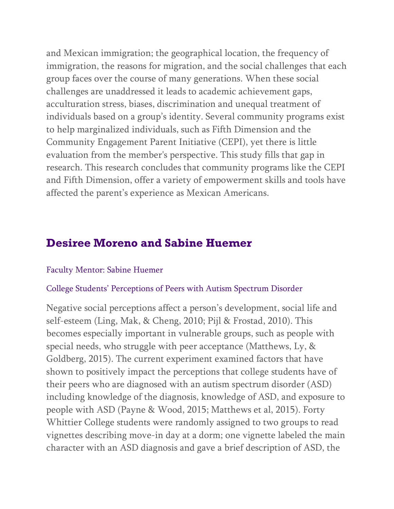and Mexican immigration; the geographical location, the frequency of immigration, the reasons for migration, and the social challenges that each group faces over the course of many generations. When these social challenges are unaddressed it leads to academic achievement gaps, acculturation stress, biases, discrimination and unequal treatment of individuals based on a group's identity. Several community programs exist to help marginalized individuals, such as Fifth Dimension and the Community Engagement Parent Initiative (CEPI), yet there is little evaluation from the member's perspective. This study fills that gap in research. This research concludes that community programs like the CEPI and Fifth Dimension, offer a variety of empowerment skills and tools have affected the parent's experience as Mexican Americans.

## **Desiree Moreno and Sabine Huemer**

#### Faculty Mentor: Sabine Huemer

#### College Students' Perceptions of Peers with Autism Spectrum Disorder

Negative social perceptions affect a person's development, social life and self-esteem (Ling, Mak, & Cheng, 2010; Pijl & Frostad, 2010). This becomes especially important in vulnerable groups, such as people with special needs, who struggle with peer acceptance (Matthews, Ly, & Goldberg, 2015). The current experiment examined factors that have shown to positively impact the perceptions that college students have of their peers who are diagnosed with an autism spectrum disorder (ASD) including knowledge of the diagnosis, knowledge of ASD, and exposure to people with ASD (Payne & Wood, 2015; Matthews et al, 2015). Forty Whittier College students were randomly assigned to two groups to read vignettes describing move-in day at a dorm; one vignette labeled the main character with an ASD diagnosis and gave a brief description of ASD, the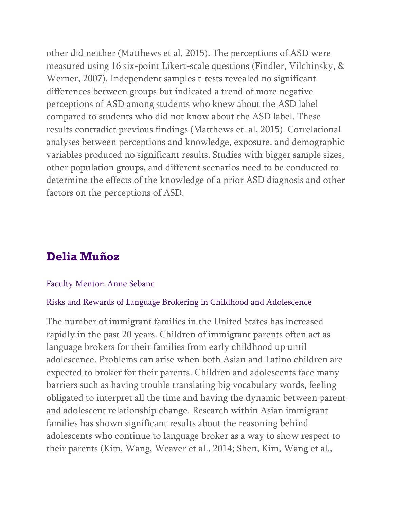other did neither (Matthews et al, 2015). The perceptions of ASD were measured using 16 six-point Likert-scale questions (Findler, Vilchinsky, & Werner, 2007). Independent samples t-tests revealed no significant differences between groups but indicated a trend of more negative perceptions of ASD among students who knew about the ASD label compared to students who did not know about the ASD label. These results contradict previous findings (Matthews et. al, 2015). Correlational analyses between perceptions and knowledge, exposure, and demographic variables produced no significant results. Studies with bigger sample sizes, other population groups, and different scenarios need to be conducted to determine the effects of the knowledge of a prior ASD diagnosis and other factors on the perceptions of ASD.

### **Delia Muñoz**

#### Faculty Mentor: Anne Sebanc

#### Risks and Rewards of Language Brokering in Childhood and Adolescence

The number of immigrant families in the United States has increased rapidly in the past 20 years. Children of immigrant parents often act as language brokers for their families from early childhood up until adolescence. Problems can arise when both Asian and Latino children are expected to broker for their parents. Children and adolescents face many barriers such as having trouble translating big vocabulary words, feeling obligated to interpret all the time and having the dynamic between parent and adolescent relationship change. Research within Asian immigrant families has shown significant results about the reasoning behind adolescents who continue to language broker as a way to show respect to their parents (Kim, Wang, Weaver et al., 2014; Shen, Kim, Wang et al.,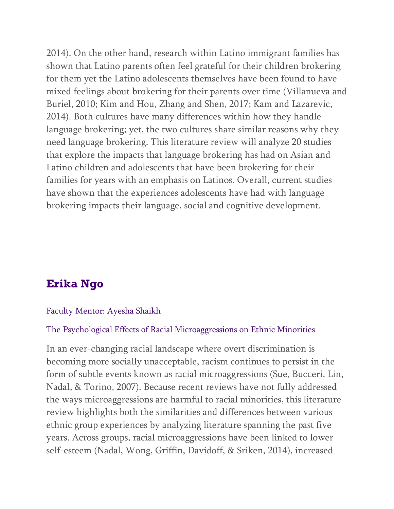2014). On the other hand, research within Latino immigrant families has shown that Latino parents often feel grateful for their children brokering for them yet the Latino adolescents themselves have been found to have mixed feelings about brokering for their parents over time (Villanueva and Buriel, 2010; Kim and Hou, Zhang and Shen, 2017; Kam and Lazarevic, 2014). Both cultures have many differences within how they handle language brokering; yet, the two cultures share similar reasons why they need language brokering. This literature review will analyze 20 studies that explore the impacts that language brokering has had on Asian and Latino children and adolescents that have been brokering for their families for years with an emphasis on Latinos. Overall, current studies have shown that the experiences adolescents have had with language brokering impacts their language, social and cognitive development.

# **Erika Ngo**

#### Faculty Mentor: Ayesha Shaikh

#### The Psychological Effects of Racial Microaggressions on Ethnic Minorities

In an ever-changing racial landscape where overt discrimination is becoming more socially unacceptable, racism continues to persist in the form of subtle events known as racial microaggressions (Sue, Bucceri, Lin, Nadal, & Torino, 2007). Because recent reviews have not fully addressed the ways microaggressions are harmful to racial minorities, this literature review highlights both the similarities and differences between various ethnic group experiences by analyzing literature spanning the past five years. Across groups, racial microaggressions have been linked to lower self-esteem (Nadal, Wong, Griffin, Davidoff, & Sriken, 2014), increased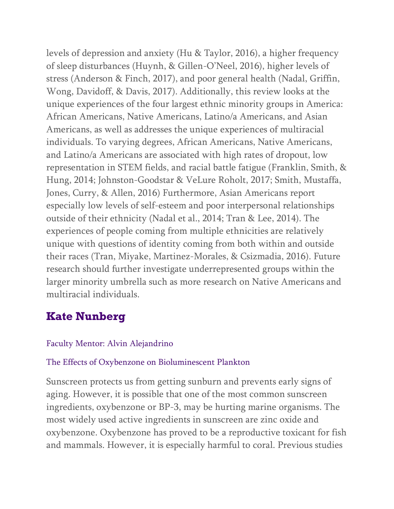levels of depression and anxiety (Hu & Taylor, 2016), a higher frequency of sleep disturbances (Huynh, & Gillen-O'Neel, 2016), higher levels of stress (Anderson & Finch, 2017), and poor general health (Nadal, Griffin, Wong, Davidoff, & Davis, 2017). Additionally, this review looks at the unique experiences of the four largest ethnic minority groups in America: African Americans, Native Americans, Latino/a Americans, and Asian Americans, as well as addresses the unique experiences of multiracial individuals. To varying degrees, African Americans, Native Americans, and Latino/a Americans are associated with high rates of dropout, low representation in STEM fields, and racial battle fatigue (Franklin, Smith, & Hung, 2014; Johnston-Goodstar & VeLure Roholt, 2017; Smith, Mustaffa, Jones, Curry, & Allen, 2016) Furthermore, Asian Americans report especially low levels of self-esteem and poor interpersonal relationships outside of their ethnicity (Nadal et al., 2014; Tran & Lee, 2014). The experiences of people coming from multiple ethnicities are relatively unique with questions of identity coming from both within and outside their races (Tran, Miyake, Martinez-Morales, & Csizmadia, 2016). Future research should further investigate underrepresented groups within the larger minority umbrella such as more research on Native Americans and multiracial individuals.

# **Kate Nunberg**

### Faculty Mentor: Alvin Alejandrino

### The Effects of Oxybenzone on Bioluminescent Plankton

Sunscreen protects us from getting sunburn and prevents early signs of aging. However, it is possible that one of the most common sunscreen ingredients, oxybenzone or BP-3, may be hurting marine organisms. The most widely used active ingredients in sunscreen are zinc oxide and oxybenzone. Oxybenzone has proved to be a reproductive toxicant for fish and mammals. However, it is especially harmful to coral. Previous studies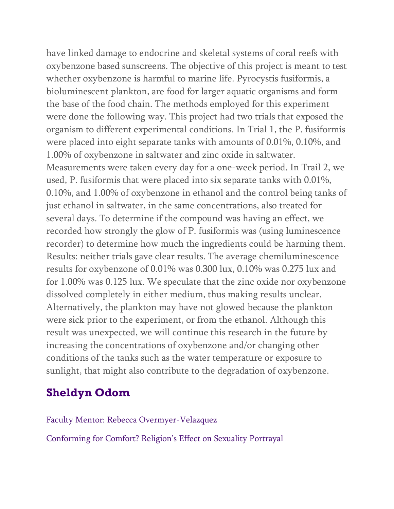have linked damage to endocrine and skeletal systems of coral reefs with oxybenzone based sunscreens. The objective of this project is meant to test whether oxybenzone is harmful to marine life. Pyrocystis fusiformis, a bioluminescent plankton, are food for larger aquatic organisms and form the base of the food chain. The methods employed for this experiment were done the following way. This project had two trials that exposed the organism to different experimental conditions. In Trial 1, the P. fusiformis were placed into eight separate tanks with amounts of 0.01%, 0.10%, and 1.00% of oxybenzone in saltwater and zinc oxide in saltwater. Measurements were taken every day for a one-week period. In Trail 2, we used, P. fusiformis that were placed into six separate tanks with 0.01%, 0.10%, and 1.00% of oxybenzone in ethanol and the control being tanks of just ethanol in saltwater, in the same concentrations, also treated for several days. To determine if the compound was having an effect, we recorded how strongly the glow of P. fusiformis was (using luminescence recorder) to determine how much the ingredients could be harming them. Results: neither trials gave clear results. The average chemiluminescence results for oxybenzone of 0.01% was 0.300 lux, 0.10% was 0.275 lux and for 1.00% was 0.125 lux. We speculate that the zinc oxide nor oxybenzone dissolved completely in either medium, thus making results unclear. Alternatively, the plankton may have not glowed because the plankton were sick prior to the experiment, or from the ethanol. Although this result was unexpected, we will continue this research in the future by increasing the concentrations of oxybenzone and/or changing other conditions of the tanks such as the water temperature or exposure to sunlight, that might also contribute to the degradation of oxybenzone.

# **Sheldyn Odom**

#### Faculty Mentor: Rebecca Overmyer-Velazquez

Conforming for Comfort? Religion's Effect on Sexuality Portrayal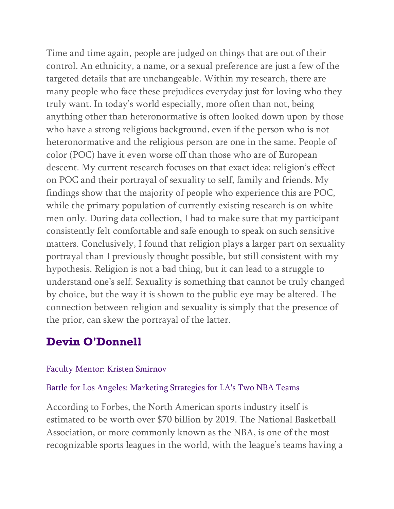Time and time again, people are judged on things that are out of their control. An ethnicity, a name, or a sexual preference are just a few of the targeted details that are unchangeable. Within my research, there are many people who face these prejudices everyday just for loving who they truly want. In today's world especially, more often than not, being anything other than heteronormative is often looked down upon by those who have a strong religious background, even if the person who is not heteronormative and the religious person are one in the same. People of color (POC) have it even worse off than those who are of European descent. My current research focuses on that exact idea: religion's effect on POC and their portrayal of sexuality to self, family and friends. My findings show that the majority of people who experience this are POC, while the primary population of currently existing research is on white men only. During data collection, I had to make sure that my participant consistently felt comfortable and safe enough to speak on such sensitive matters. Conclusively, I found that religion plays a larger part on sexuality portrayal than I previously thought possible, but still consistent with my hypothesis. Religion is not a bad thing, but it can lead to a struggle to understand one's self. Sexuality is something that cannot be truly changed by choice, but the way it is shown to the public eye may be altered. The connection between religion and sexuality is simply that the presence of the prior, can skew the portrayal of the latter.

### **Devin O'Donnell**

### Faculty Mentor: Kristen Smirnov

#### Battle for Los Angeles: Marketing Strategies for LA's Two NBA Teams

According to Forbes, the North American sports industry itself is estimated to be worth over \$70 billion by 2019. The National Basketball Association, or more commonly known as the NBA, is one of the most recognizable sports leagues in the world, with the league's teams having a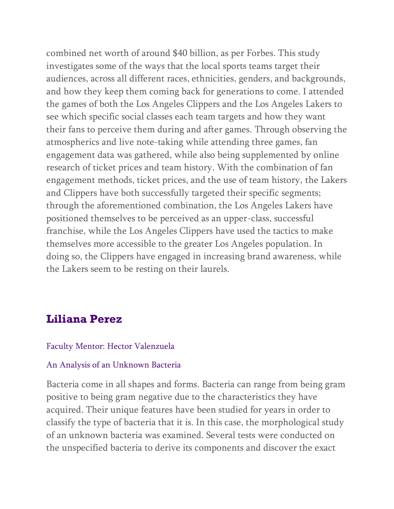combined net worth of around \$40 billion, as per Forbes. This study investigates some of the ways that the local sports teams target their audiences, across all different races, ethnicities, genders, and backgrounds, and how they keep them coming back for generations to come. I attended the games of both the Los Angeles Clippers and the Los Angeles Lakers to see which specific social classes each team targets and how they want their fans to perceive them during and after games. Through observing the atmospherics and live note-taking while attending three games, fan engagement data was gathered, while also being supplemented by online research of ticket prices and team history. With the combination of fan engagement methods, ticket prices, and the use of team history, the Lakers and Clippers have both successfully targeted their specific segments; through the aforementioned combination, the Los Angeles Lakers have positioned themselves to be perceived as an upper-class, successful franchise, while the Los Angeles Clippers have used the tactics to make themselves more accessible to the greater Los Angeles population. In doing so, the Clippers have engaged in increasing brand awareness, while the Lakers seem to be resting on their laurels.

### **Liliana Perez**

#### Faculty Mentor: Hector Valenzuela

#### An Analysis of an Unknown Bacteria

Bacteria come in all shapes and forms. Bacteria can range from being gram positive to being gram negative due to the characteristics they have acquired. Their unique features have been studied for years in order to classify the type of bacteria that it is. In this case, the morphological study of an unknown bacteria was examined. Several tests were conducted on the unspecified bacteria to derive its components and discover the exact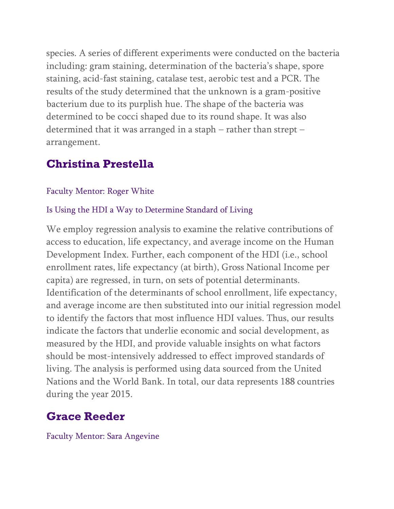species. A series of different experiments were conducted on the bacteria including: gram staining, determination of the bacteria's shape, spore staining, acid-fast staining, catalase test, aerobic test and a PCR. The results of the study determined that the unknown is a gram-positive bacterium due to its purplish hue. The shape of the bacteria was determined to be cocci shaped due to its round shape. It was also determined that it was arranged in a staph – rather than strept – arrangement.

## **Christina Prestella**

### Faculty Mentor: Roger White

### Is Using the HDI a Way to Determine Standard of Living

We employ regression analysis to examine the relative contributions of access to education, life expectancy, and average income on the Human Development Index. Further, each component of the HDI (i.e., school enrollment rates, life expectancy (at birth), Gross National Income per capita) are regressed, in turn, on sets of potential determinants. Identification of the determinants of school enrollment, life expectancy, and average income are then substituted into our initial regression model to identify the factors that most influence HDI values. Thus, our results indicate the factors that underlie economic and social development, as measured by the HDI, and provide valuable insights on what factors should be most-intensively addressed to effect improved standards of living. The analysis is performed using data sourced from the United Nations and the World Bank. In total, our data represents 188 countries during the year 2015.

# **Grace Reeder**

Faculty Mentor: Sara Angevine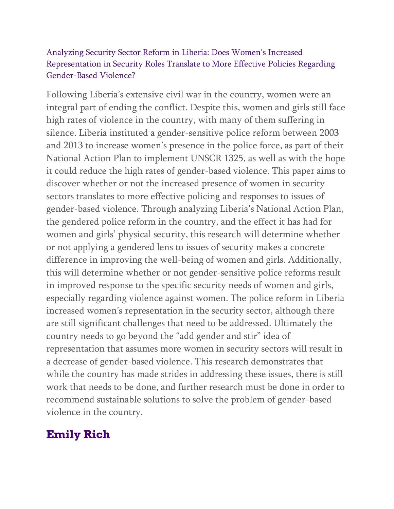### Analyzing Security Sector Reform in Liberia: Does Women's Increased Representation in Security Roles Translate to More Effective Policies Regarding Gender-Based Violence?

Following Liberia's extensive civil war in the country, women were an integral part of ending the conflict. Despite this, women and girls still face high rates of violence in the country, with many of them suffering in silence. Liberia instituted a gender-sensitive police reform between 2003 and 2013 to increase women's presence in the police force, as part of their National Action Plan to implement UNSCR 1325, as well as with the hope it could reduce the high rates of gender-based violence. This paper aims to discover whether or not the increased presence of women in security sectors translates to more effective policing and responses to issues of gender-based violence. Through analyzing Liberia's National Action Plan, the gendered police reform in the country, and the effect it has had for women and girls' physical security, this research will determine whether or not applying a gendered lens to issues of security makes a concrete difference in improving the well-being of women and girls. Additionally, this will determine whether or not gender-sensitive police reforms result in improved response to the specific security needs of women and girls, especially regarding violence against women. The police reform in Liberia increased women's representation in the security sector, although there are still significant challenges that need to be addressed. Ultimately the country needs to go beyond the "add gender and stir" idea of representation that assumes more women in security sectors will result in a decrease of gender-based violence. This research demonstrates that while the country has made strides in addressing these issues, there is still work that needs to be done, and further research must be done in order to recommend sustainable solutions to solve the problem of gender-based violence in the country.

## **Emily Rich**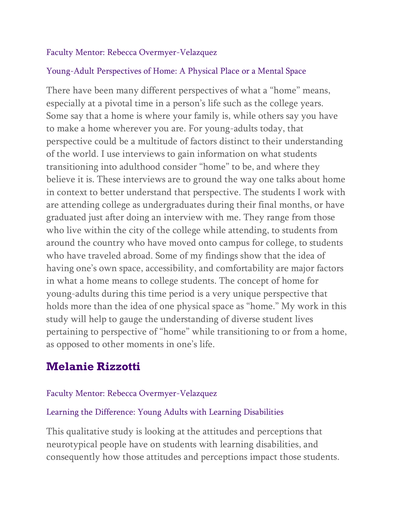### Faculty Mentor: Rebecca Overmyer-Velazquez

### Young-Adult Perspectives of Home: A Physical Place or a Mental Space

There have been many different perspectives of what a "home" means, especially at a pivotal time in a person's life such as the college years. Some say that a home is where your family is, while others say you have to make a home wherever you are. For young-adults today, that perspective could be a multitude of factors distinct to their understanding of the world. I use interviews to gain information on what students transitioning into adulthood consider "home" to be, and where they believe it is. These interviews are to ground the way one talks about home in context to better understand that perspective. The students I work with are attending college as undergraduates during their final months, or have graduated just after doing an interview with me. They range from those who live within the city of the college while attending, to students from around the country who have moved onto campus for college, to students who have traveled abroad. Some of my findings show that the idea of having one's own space, accessibility, and comfortability are major factors in what a home means to college students. The concept of home for young-adults during this time period is a very unique perspective that holds more than the idea of one physical space as "home." My work in this study will help to gauge the understanding of diverse student lives pertaining to perspective of "home" while transitioning to or from a home, as opposed to other moments in one's life.

## **Melanie Rizzotti**

### Faculty Mentor: Rebecca Overmyer-Velazquez

### Learning the Difference: Young Adults with Learning Disabilities

This qualitative study is looking at the attitudes and perceptions that neurotypical people have on students with learning disabilities, and consequently how those attitudes and perceptions impact those students.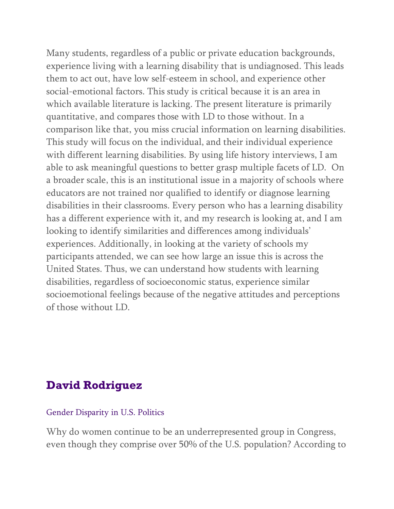Many students, regardless of a public or private education backgrounds, experience living with a learning disability that is undiagnosed. This leads them to act out, have low self-esteem in school, and experience other social-emotional factors. This study is critical because it is an area in which available literature is lacking. The present literature is primarily quantitative, and compares those with LD to those without. In a comparison like that, you miss crucial information on learning disabilities. This study will focus on the individual, and their individual experience with different learning disabilities. By using life history interviews, I am able to ask meaningful questions to better grasp multiple facets of LD. On a broader scale, this is an institutional issue in a majority of schools where educators are not trained nor qualified to identify or diagnose learning disabilities in their classrooms. Every person who has a learning disability has a different experience with it, and my research is looking at, and I am looking to identify similarities and differences among individuals' experiences. Additionally, in looking at the variety of schools my participants attended, we can see how large an issue this is across the United States. Thus, we can understand how students with learning disabilities, regardless of socioeconomic status, experience similar socioemotional feelings because of the negative attitudes and perceptions of those without LD.

## **David Rodriguez**

Gender Disparity in U.S. Politics

Why do women continue to be an underrepresented group in Congress, even though they comprise over 50% of the U.S. population? According to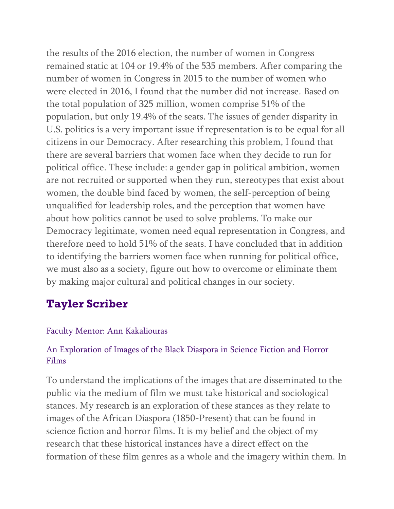the results of the 2016 election, the number of women in Congress remained static at 104 or 19.4% of the 535 members. After comparing the number of women in Congress in 2015 to the number of women who were elected in 2016, I found that the number did not increase. Based on the total population of 325 million, women comprise 51% of the population, but only 19.4% of the seats. The issues of gender disparity in U.S. politics is a very important issue if representation is to be equal for all citizens in our Democracy. After researching this problem, I found that there are several barriers that women face when they decide to run for political office. These include: a gender gap in political ambition, women are not recruited or supported when they run, stereotypes that exist about women, the double bind faced by women, the self-perception of being unqualified for leadership roles, and the perception that women have about how politics cannot be used to solve problems. To make our Democracy legitimate, women need equal representation in Congress, and therefore need to hold 51% of the seats. I have concluded that in addition to identifying the barriers women face when running for political office, we must also as a society, figure out how to overcome or eliminate them by making major cultural and political changes in our society.

# **Tayler Scriber**

### Faculty Mentor: Ann Kakaliouras

### An Exploration of Images of the Black Diaspora in Science Fiction and Horror Films

To understand the implications of the images that are disseminated to the public via the medium of film we must take historical and sociological stances. My research is an exploration of these stances as they relate to images of the African Diaspora (1850-Present) that can be found in science fiction and horror films. It is my belief and the object of my research that these historical instances have a direct effect on the formation of these film genres as a whole and the imagery within them. In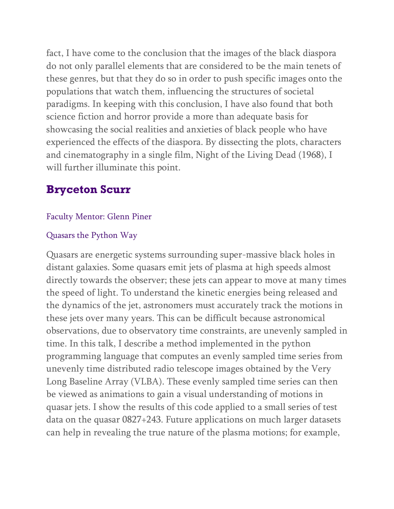fact, I have come to the conclusion that the images of the black diaspora do not only parallel elements that are considered to be the main tenets of these genres, but that they do so in order to push specific images onto the populations that watch them, influencing the structures of societal paradigms. In keeping with this conclusion, I have also found that both science fiction and horror provide a more than adequate basis for showcasing the social realities and anxieties of black people who have experienced the effects of the diaspora. By dissecting the plots, characters and cinematography in a single film, Night of the Living Dead (1968), I will further illuminate this point.

# **Bryceton Scurr**

### Faculty Mentor: Glenn Piner

### Quasars the Python Way

Quasars are energetic systems surrounding super-massive black holes in distant galaxies. Some quasars emit jets of plasma at high speeds almost directly towards the observer; these jets can appear to move at many times the speed of light. To understand the kinetic energies being released and the dynamics of the jet, astronomers must accurately track the motions in these jets over many years. This can be difficult because astronomical observations, due to observatory time constraints, are unevenly sampled in time. In this talk, I describe a method implemented in the python programming language that computes an evenly sampled time series from unevenly time distributed radio telescope images obtained by the Very Long Baseline Array (VLBA). These evenly sampled time series can then be viewed as animations to gain a visual understanding of motions in quasar jets. I show the results of this code applied to a small series of test data on the quasar 0827+243. Future applications on much larger datasets can help in revealing the true nature of the plasma motions; for example,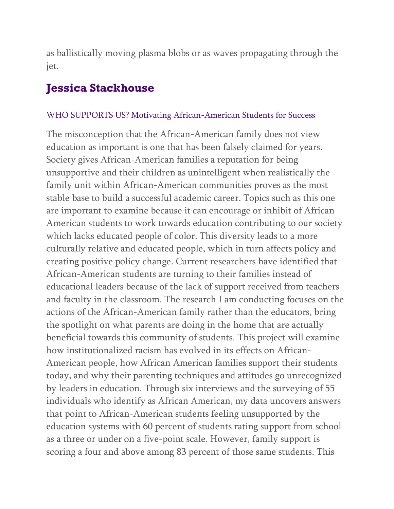as ballistically moving plasma blobs or as waves propagating through the jet.

## **Jessica Stackhouse**

#### WHO SUPPORTS US? Motivating African-American Students for Success

The misconception that the African-American family does not view education as important is one that has been falsely claimed for years. Society gives African-American families a reputation for being unsupportive and their children as unintelligent when realistically the family unit within African-American communities proves as the most stable base to build a successful academic career. Topics such as this one are important to examine because it can encourage or inhibit of African American students to work towards education contributing to our society which lacks educated people of color. This diversity leads to a more culturally relative and educated people, which in turn affects policy and creating positive policy change. Current researchers have identified that African-American students are turning to their families instead of educational leaders because of the lack of support received from teachers and faculty in the classroom. The research I am conducting focuses on the actions of the African-American family rather than the educators, bring the spotlight on what parents are doing in the home that are actually beneficial towards this community of students. This project will examine how institutionalized racism has evolved in its effects on African-American people, how African American families support their students today, and why their parenting techniques and attitudes go unrecognized by leaders in education. Through six interviews and the surveying of 55 individuals who identify as African American, my data uncovers answers that point to African-American students feeling unsupported by the education systems with 60 percent of students rating support from school as a three or under on a five-point scale. However, family support is scoring a four and above among 83 percent of those same students. This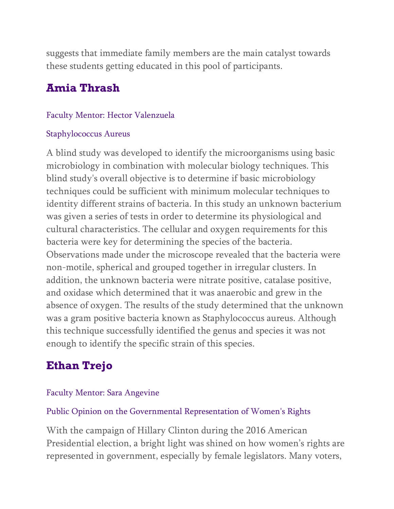suggests that immediate family members are the main catalyst towards these students getting educated in this pool of participants.

# **Amia Thrash**

### Faculty Mentor: Hector Valenzuela

### Staphylococcus Aureus

A blind study was developed to identify the microorganisms using basic microbiology in combination with molecular biology techniques. This blind study's overall objective is to determine if basic microbiology techniques could be sufficient with minimum molecular techniques to identity different strains of bacteria. In this study an unknown bacterium was given a series of tests in order to determine its physiological and cultural characteristics. The cellular and oxygen requirements for this bacteria were key for determining the species of the bacteria. Observations made under the microscope revealed that the bacteria were non-motile, spherical and grouped together in irregular clusters. In addition, the unknown bacteria were nitrate positive, catalase positive, and oxidase which determined that it was anaerobic and grew in the absence of oxygen. The results of the study determined that the unknown was a gram positive bacteria known as Staphylococcus aureus. Although this technique successfully identified the genus and species it was not enough to identify the specific strain of this species.

# **Ethan Trejo**

### Faculty Mentor: Sara Angevine

### Public Opinion on the Governmental Representation of Women's Rights

With the campaign of Hillary Clinton during the 2016 American Presidential election, a bright light was shined on how women's rights are represented in government, especially by female legislators. Many voters,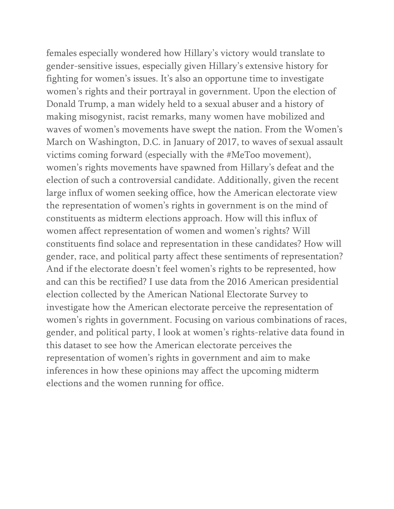females especially wondered how Hillary's victory would translate to gender-sensitive issues, especially given Hillary's extensive history for fighting for women's issues. It's also an opportune time to investigate women's rights and their portrayal in government. Upon the election of Donald Trump, a man widely held to a sexual abuser and a history of making misogynist, racist remarks, many women have mobilized and waves of women's movements have swept the nation. From the Women's March on Washington, D.C. in January of 2017, to waves of sexual assault victims coming forward (especially with the #MeToo movement), women's rights movements have spawned from Hillary's defeat and the election of such a controversial candidate. Additionally, given the recent large influx of women seeking office, how the American electorate view the representation of women's rights in government is on the mind of constituents as midterm elections approach. How will this influx of women affect representation of women and women's rights? Will constituents find solace and representation in these candidates? How will gender, race, and political party affect these sentiments of representation? And if the electorate doesn't feel women's rights to be represented, how and can this be rectified? I use data from the 2016 American presidential election collected by the American National Electorate Survey to investigate how the American electorate perceive the representation of women's rights in government. Focusing on various combinations of races, gender, and political party, I look at women's rights-relative data found in this dataset to see how the American electorate perceives the representation of women's rights in government and aim to make inferences in how these opinions may affect the upcoming midterm elections and the women running for office.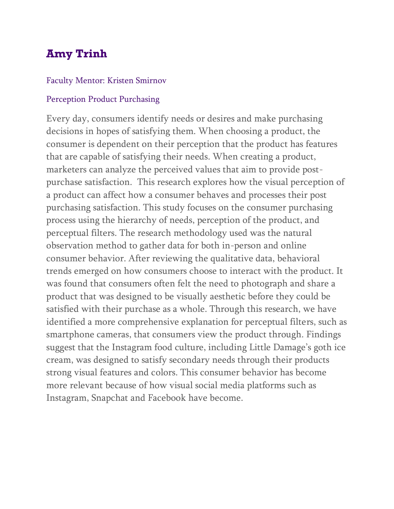# **Amy Trinh**

#### Faculty Mentor: Kristen Smirnov

#### Perception Product Purchasing

Every day, consumers identify needs or desires and make purchasing decisions in hopes of satisfying them. When choosing a product, the consumer is dependent on their perception that the product has features that are capable of satisfying their needs. When creating a product, marketers can analyze the perceived values that aim to provide postpurchase satisfaction. This research explores how the visual perception of a product can affect how a consumer behaves and processes their post purchasing satisfaction. This study focuses on the consumer purchasing process using the hierarchy of needs, perception of the product, and perceptual filters. The research methodology used was the natural observation method to gather data for both in-person and online consumer behavior. After reviewing the qualitative data, behavioral trends emerged on how consumers choose to interact with the product. It was found that consumers often felt the need to photograph and share a product that was designed to be visually aesthetic before they could be satisfied with their purchase as a whole. Through this research, we have identified a more comprehensive explanation for perceptual filters, such as smartphone cameras, that consumers view the product through. Findings suggest that the Instagram food culture, including Little Damage's goth ice cream, was designed to satisfy secondary needs through their products strong visual features and colors. This consumer behavior has become more relevant because of how visual social media platforms such as Instagram, Snapchat and Facebook have become.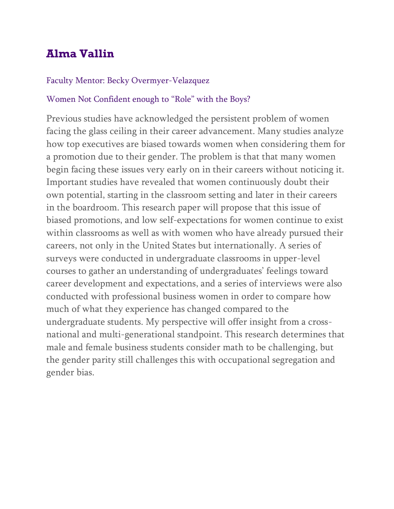# **Alma Vallin**

### Faculty Mentor: Becky Overmyer-Velazquez

### Women Not Confident enough to "Role" with the Boys?

Previous studies have acknowledged the persistent problem of women facing the glass ceiling in their career advancement. Many studies analyze how top executives are biased towards women when considering them for a promotion due to their gender. The problem is that that many women begin facing these issues very early on in their careers without noticing it. Important studies have revealed that women continuously doubt their own potential, starting in the classroom setting and later in their careers in the boardroom. This research paper will propose that this issue of biased promotions, and low self-expectations for women continue to exist within classrooms as well as with women who have already pursued their careers, not only in the United States but internationally. A series of surveys were conducted in undergraduate classrooms in upper-level courses to gather an understanding of undergraduates' feelings toward career development and expectations, and a series of interviews were also conducted with professional business women in order to compare how much of what they experience has changed compared to the undergraduate students. My perspective will offer insight from a crossnational and multi-generational standpoint. This research determines that male and female business students consider math to be challenging, but the gender parity still challenges this with occupational segregation and gender bias.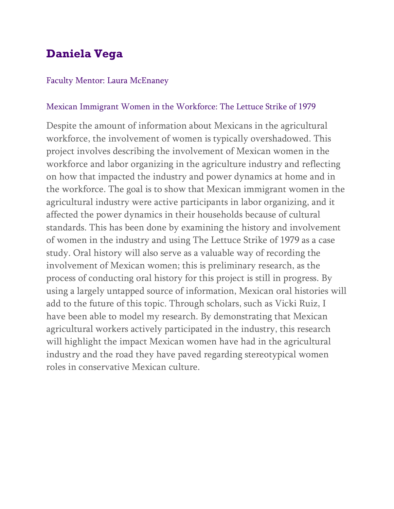# **Daniela Vega**

#### Faculty Mentor: Laura McEnaney

### Mexican Immigrant Women in the Workforce: The Lettuce Strike of 1979

Despite the amount of information about Mexicans in the agricultural workforce, the involvement of women is typically overshadowed. This project involves describing the involvement of Mexican women in the workforce and labor organizing in the agriculture industry and reflecting on how that impacted the industry and power dynamics at home and in the workforce. The goal is to show that Mexican immigrant women in the agricultural industry were active participants in labor organizing, and it affected the power dynamics in their households because of cultural standards. This has been done by examining the history and involvement of women in the industry and using The Lettuce Strike of 1979 as a case study. Oral history will also serve as a valuable way of recording the involvement of Mexican women; this is preliminary research, as the process of conducting oral history for this project is still in progress. By using a largely untapped source of information, Mexican oral histories will add to the future of this topic. Through scholars, such as Vicki Ruiz, I have been able to model my research. By demonstrating that Mexican agricultural workers actively participated in the industry, this research will highlight the impact Mexican women have had in the agricultural industry and the road they have paved regarding stereotypical women roles in conservative Mexican culture.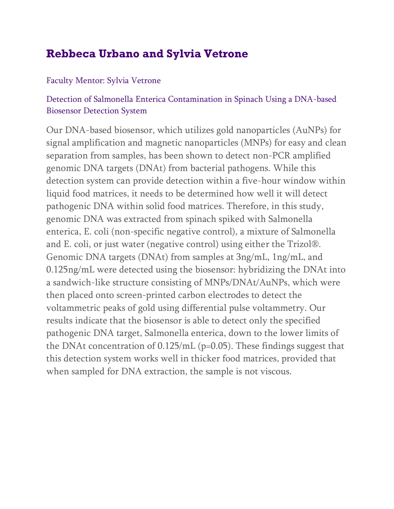# **Rebbeca Urbano and Sylvia Vetrone**

### Faculty Mentor: Sylvia Vetrone

### Detection of Salmonella Enterica Contamination in Spinach Using a DNA-based Biosensor Detection System

Our DNA-based biosensor, which utilizes gold nanoparticles (AuNPs) for signal amplification and magnetic nanoparticles (MNPs) for easy and clean separation from samples, has been shown to detect non-PCR amplified genomic DNA targets (DNAt) from bacterial pathogens. While this detection system can provide detection within a five-hour window within liquid food matrices, it needs to be determined how well it will detect pathogenic DNA within solid food matrices. Therefore, in this study, genomic DNA was extracted from spinach spiked with Salmonella enterica, E. coli (non-specific negative control), a mixture of Salmonella and E. coli, or just water (negative control) using either the Trizol®. Genomic DNA targets (DNAt) from samples at 3ng/mL, 1ng/mL, and 0.125ng/mL were detected using the biosensor: hybridizing the DNAt into a sandwich-like structure consisting of MNPs/DNAt/AuNPs, which were then placed onto screen-printed carbon electrodes to detect the voltammetric peaks of gold using differential pulse voltammetry. Our results indicate that the biosensor is able to detect only the specified pathogenic DNA target, Salmonella enterica, down to the lower limits of the DNAt concentration of  $0.125/mL$  (p=0.05). These findings suggest that this detection system works well in thicker food matrices, provided that when sampled for DNA extraction, the sample is not viscous.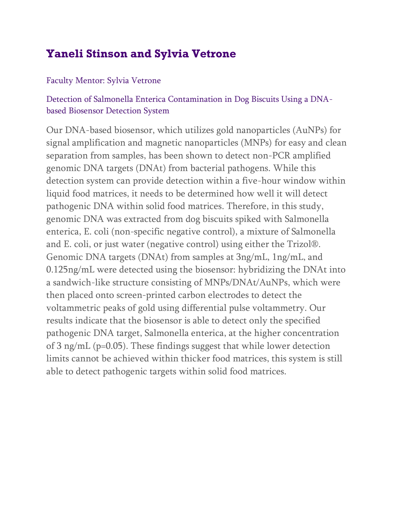# **Yaneli Stinson and Sylvia Vetrone**

### Faculty Mentor: Sylvia Vetrone

### Detection of Salmonella Enterica Contamination in Dog Biscuits Using a DNAbased Biosensor Detection System

Our DNA-based biosensor, which utilizes gold nanoparticles (AuNPs) for signal amplification and magnetic nanoparticles (MNPs) for easy and clean separation from samples, has been shown to detect non-PCR amplified genomic DNA targets (DNAt) from bacterial pathogens. While this detection system can provide detection within a five-hour window within liquid food matrices, it needs to be determined how well it will detect pathogenic DNA within solid food matrices. Therefore, in this study, genomic DNA was extracted from dog biscuits spiked with Salmonella enterica, E. coli (non-specific negative control), a mixture of Salmonella and E. coli, or just water (negative control) using either the Trizol®. Genomic DNA targets (DNAt) from samples at 3ng/mL, 1ng/mL, and 0.125ng/mL were detected using the biosensor: hybridizing the DNAt into a sandwich-like structure consisting of MNPs/DNAt/AuNPs, which were then placed onto screen-printed carbon electrodes to detect the voltammetric peaks of gold using differential pulse voltammetry. Our results indicate that the biosensor is able to detect only the specified pathogenic DNA target, Salmonella enterica, at the higher concentration of 3 ng/mL (p=0.05). These findings suggest that while lower detection limits cannot be achieved within thicker food matrices, this system is still able to detect pathogenic targets within solid food matrices.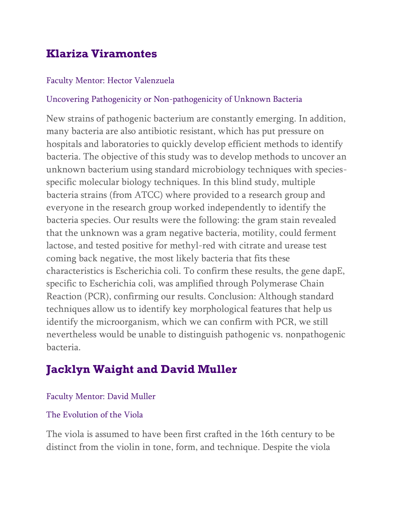# **Klariza Viramontes**

### Faculty Mentor: Hector Valenzuela

### Uncovering Pathogenicity or Non-pathogenicity of Unknown Bacteria

New strains of pathogenic bacterium are constantly emerging. In addition, many bacteria are also antibiotic resistant, which has put pressure on hospitals and laboratories to quickly develop efficient methods to identify bacteria. The objective of this study was to develop methods to uncover an unknown bacterium using standard microbiology techniques with speciesspecific molecular biology techniques. In this blind study, multiple bacteria strains (from ATCC) where provided to a research group and everyone in the research group worked independently to identify the bacteria species. Our results were the following: the gram stain revealed that the unknown was a gram negative bacteria, motility, could ferment lactose, and tested positive for methyl-red with citrate and urease test coming back negative, the most likely bacteria that fits these characteristics is Escherichia coli. To confirm these results, the gene dapE, specific to Escherichia coli, was amplified through Polymerase Chain Reaction (PCR), confirming our results. Conclusion: Although standard techniques allow us to identify key morphological features that help us identify the microorganism, which we can confirm with PCR, we still nevertheless would be unable to distinguish pathogenic vs. nonpathogenic bacteria.

# **Jacklyn Waight and David Muller**

### Faculty Mentor: David Muller

### The Evolution of the Viola

The viola is assumed to have been first crafted in the 16th century to be distinct from the violin in tone, form, and technique. Despite the viola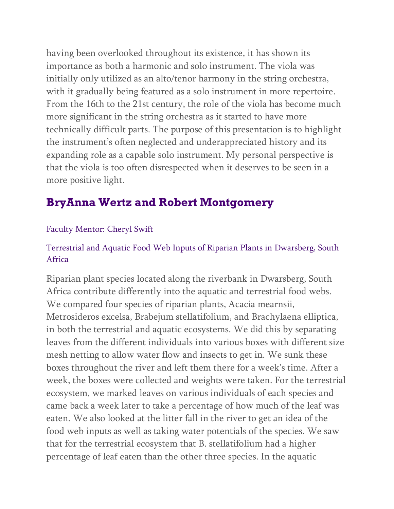having been overlooked throughout its existence, it has shown its importance as both a harmonic and solo instrument. The viola was initially only utilized as an alto/tenor harmony in the string orchestra, with it gradually being featured as a solo instrument in more repertoire. From the 16th to the 21st century, the role of the viola has become much more significant in the string orchestra as it started to have more technically difficult parts. The purpose of this presentation is to highlight the instrument's often neglected and underappreciated history and its expanding role as a capable solo instrument. My personal perspective is that the viola is too often disrespected when it deserves to be seen in a more positive light.

# **BryAnna Wertz and Robert Montgomery**

### Faculty Mentor: Cheryl Swift

### Terrestrial and Aquatic Food Web Inputs of Riparian Plants in Dwarsberg, South Africa

Riparian plant species located along the riverbank in Dwarsberg, South Africa contribute differently into the aquatic and terrestrial food webs. We compared four species of riparian plants, Acacia mearnsii, Metrosideros excelsa, Brabejum stellatifolium, and Brachylaena elliptica, in both the terrestrial and aquatic ecosystems. We did this by separating leaves from the different individuals into various boxes with different size mesh netting to allow water flow and insects to get in. We sunk these boxes throughout the river and left them there for a week's time. After a week, the boxes were collected and weights were taken. For the terrestrial ecosystem, we marked leaves on various individuals of each species and came back a week later to take a percentage of how much of the leaf was eaten. We also looked at the litter fall in the river to get an idea of the food web inputs as well as taking water potentials of the species. We saw that for the terrestrial ecosystem that B. stellatifolium had a higher percentage of leaf eaten than the other three species. In the aquatic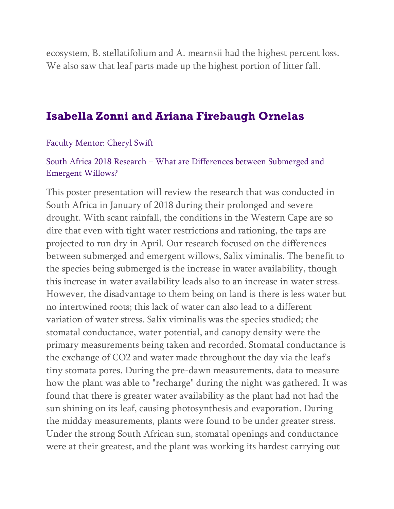ecosystem, B. stellatifolium and A. mearnsii had the highest percent loss. We also saw that leaf parts made up the highest portion of litter fall.

### **Isabella Zonni and Ariana Firebaugh Ornelas**

Faculty Mentor: Cheryl Swift

### South Africa 2018 Research – What are Differences between Submerged and Emergent Willows?

This poster presentation will review the research that was conducted in South Africa in January of 2018 during their prolonged and severe drought. With scant rainfall, the conditions in the Western Cape are so dire that even with tight water restrictions and rationing, the taps are projected to run dry in April. Our research focused on the differences between submerged and emergent willows, Salix viminalis. The benefit to the species being submerged is the increase in water availability, though this increase in water availability leads also to an increase in water stress. However, the disadvantage to them being on land is there is less water but no intertwined roots; this lack of water can also lead to a different variation of water stress. Salix viminalis was the species studied; the stomatal conductance, water potential, and canopy density were the primary measurements being taken and recorded. Stomatal conductance is the exchange of CO2 and water made throughout the day via the leaf's tiny stomata pores. During the pre-dawn measurements, data to measure how the plant was able to "recharge" during the night was gathered. It was found that there is greater water availability as the plant had not had the sun shining on its leaf, causing photosynthesis and evaporation. During the midday measurements, plants were found to be under greater stress. Under the strong South African sun, stomatal openings and conductance were at their greatest, and the plant was working its hardest carrying out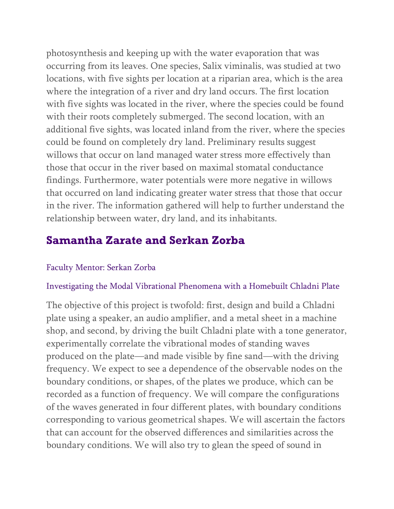photosynthesis and keeping up with the water evaporation that was occurring from its leaves. One species, Salix viminalis, was studied at two locations, with five sights per location at a riparian area, which is the area where the integration of a river and dry land occurs. The first location with five sights was located in the river, where the species could be found with their roots completely submerged. The second location, with an additional five sights, was located inland from the river, where the species could be found on completely dry land. Preliminary results suggest willows that occur on land managed water stress more effectively than those that occur in the river based on maximal stomatal conductance findings. Furthermore, water potentials were more negative in willows that occurred on land indicating greater water stress that those that occur in the river. The information gathered will help to further understand the relationship between water, dry land, and its inhabitants.

## **Samantha Zarate and Serkan Zorba**

#### Faculty Mentor: Serkan Zorba

#### Investigating the Modal Vibrational Phenomena with a Homebuilt Chladni Plate

The objective of this project is twofold: first, design and build a Chladni plate using a speaker, an audio amplifier, and a metal sheet in a machine shop, and second, by driving the built Chladni plate with a tone generator, experimentally correlate the vibrational modes of standing waves produced on the plate—and made visible by fine sand—with the driving frequency. We expect to see a dependence of the observable nodes on the boundary conditions, or shapes, of the plates we produce, which can be recorded as a function of frequency. We will compare the configurations of the waves generated in four different plates, with boundary conditions corresponding to various geometrical shapes. We will ascertain the factors that can account for the observed differences and similarities across the boundary conditions. We will also try to glean the speed of sound in